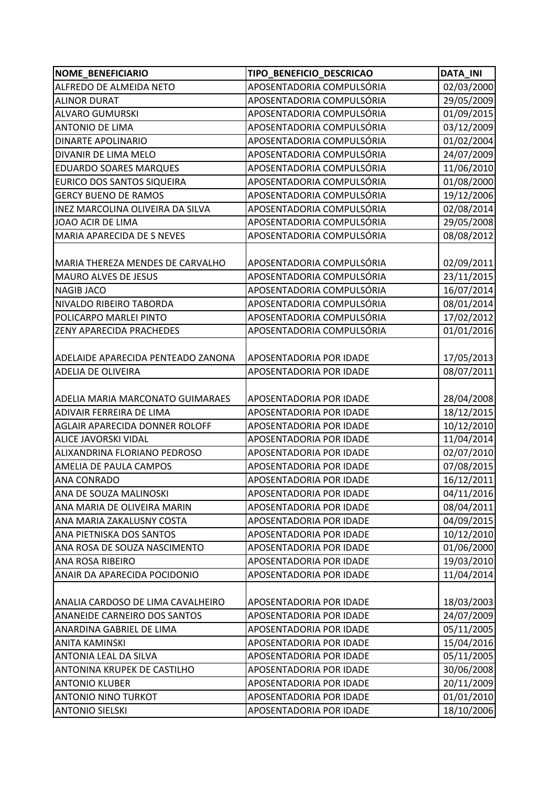| <b>NOME BENEFICIARIO</b>                | TIPO_BENEFICIO_DESCRICAO       | <b>DATA INI</b> |
|-----------------------------------------|--------------------------------|-----------------|
| ALFREDO DE ALMEIDA NETO                 | APOSENTADORIA COMPULSÓRIA      | 02/03/2000      |
| <b>ALINOR DURAT</b>                     | APOSENTADORIA COMPULSÓRIA      | 29/05/2009      |
| <b>ALVARO GUMURSKI</b>                  | APOSENTADORIA COMPULSÓRIA      | 01/09/2015      |
| <b>ANTONIO DE LIMA</b>                  | APOSENTADORIA COMPULSÓRIA      | 03/12/2009      |
| <b>DINARTE APOLINARIO</b>               | APOSENTADORIA COMPULSÓRIA      | 01/02/2004      |
| DIVANIR DE LIMA MELO                    | APOSENTADORIA COMPULSÓRIA      | 24/07/2009      |
| <b>EDUARDO SOARES MARQUES</b>           | APOSENTADORIA COMPULSÓRIA      | 11/06/2010      |
| EURICO DOS SANTOS SIQUEIRA              | APOSENTADORIA COMPULSÓRIA      | 01/08/2000      |
| <b>GERCY BUENO DE RAMOS</b>             | APOSENTADORIA COMPULSÓRIA      | 19/12/2006      |
| INEZ MARCOLINA OLIVEIRA DA SILVA        | APOSENTADORIA COMPULSÓRIA      | 02/08/2014      |
| JOAO ACIR DE LIMA                       | APOSENTADORIA COMPULSÓRIA      | 29/05/2008      |
| MARIA APARECIDA DE S NEVES              | APOSENTADORIA COMPULSÓRIA      | 08/08/2012      |
|                                         |                                |                 |
| MARIA THEREZA MENDES DE CARVALHO        | APOSENTADORIA COMPULSÓRIA      | 02/09/2011      |
| <b>MAURO ALVES DE JESUS</b>             | APOSENTADORIA COMPULSÓRIA      | 23/11/2015      |
| <b>NAGIB JACO</b>                       | APOSENTADORIA COMPULSÓRIA      | 16/07/2014      |
| NIVALDO RIBEIRO TABORDA                 | APOSENTADORIA COMPULSÓRIA      | 08/01/2014      |
| POLICARPO MARLEI PINTO                  | APOSENTADORIA COMPULSÓRIA      | 17/02/2012      |
| <b>ZENY APARECIDA PRACHEDES</b>         | APOSENTADORIA COMPULSÓRIA      | 01/01/2016      |
|                                         |                                |                 |
| ADELAIDE APARECIDA PENTEADO ZANONA      | <b>APOSENTADORIA POR IDADE</b> | 17/05/2013      |
| <b>ADELIA DE OLIVEIRA</b>               | APOSENTADORIA POR IDADE        | 08/07/2011      |
|                                         |                                |                 |
| <b>ADELIA MARIA MARCONATO GUIMARAES</b> | APOSENTADORIA POR IDADE        | 28/04/2008      |
| ADIVAIR FERREIRA DE LIMA                | APOSENTADORIA POR IDADE        | 18/12/2015      |
| AGLAIR APARECIDA DONNER ROLOFF          | APOSENTADORIA POR IDADE        | 10/12/2010      |
| <b>ALICE JAVORSKI VIDAL</b>             | APOSENTADORIA POR IDADE        | 11/04/2014      |
| ALIXANDRINA FLORIANO PEDROSO            | APOSENTADORIA POR IDADE        | 02/07/2010      |
| AMELIA DE PAULA CAMPOS                  | APOSENTADORIA POR IDADE        | 07/08/2015      |
| <b>ANA CONRADO</b>                      | APOSENTADORIA POR IDADE        | 16/12/2011      |
| ANA DE SOUZA MALINOSKI                  | APOSENTADORIA POR IDADE        | 04/11/2016      |
| ANA MARIA DE OLIVEIRA MARIN             | APOSENTADORIA POR IDADE        | 08/04/2011      |
| ANA MARIA ZAKALUSNY COSTA               | APOSENTADORIA POR IDADE        | 04/09/2015      |
| ANA PIETNISKA DOS SANTOS                | APOSENTADORIA POR IDADE        | 10/12/2010      |
| ANA ROSA DE SOUZA NASCIMENTO            | APOSENTADORIA POR IDADE        | 01/06/2000      |
| <b>ANA ROSA RIBEIRO</b>                 | APOSENTADORIA POR IDADE        | 19/03/2010      |
| ANAIR DA APARECIDA POCIDONIO            | APOSENTADORIA POR IDADE        | 11/04/2014      |
|                                         |                                |                 |
| ANALIA CARDOSO DE LIMA CAVALHEIRO       | <b>APOSENTADORIA POR IDADE</b> | 18/03/2003      |
| ANANEIDE CARNEIRO DOS SANTOS            | APOSENTADORIA POR IDADE        | 24/07/2009      |
| ANARDINA GABRIEL DE LIMA                | APOSENTADORIA POR IDADE        | 05/11/2005      |
| <b>ANITA KAMINSKI</b>                   | APOSENTADORIA POR IDADE        | 15/04/2016      |
| <b>ANTONIA LEAL DA SILVA</b>            | APOSENTADORIA POR IDADE        | 05/11/2005      |
| ANTONINA KRUPEK DE CASTILHO             | APOSENTADORIA POR IDADE        | 30/06/2008      |
| <b>ANTONIO KLUBER</b>                   | APOSENTADORIA POR IDADE        | 20/11/2009      |
| <b>ANTONIO NINO TURKOT</b>              | APOSENTADORIA POR IDADE        | 01/01/2010      |
| <b>ANTONIO SIELSKI</b>                  | APOSENTADORIA POR IDADE        | 18/10/2006      |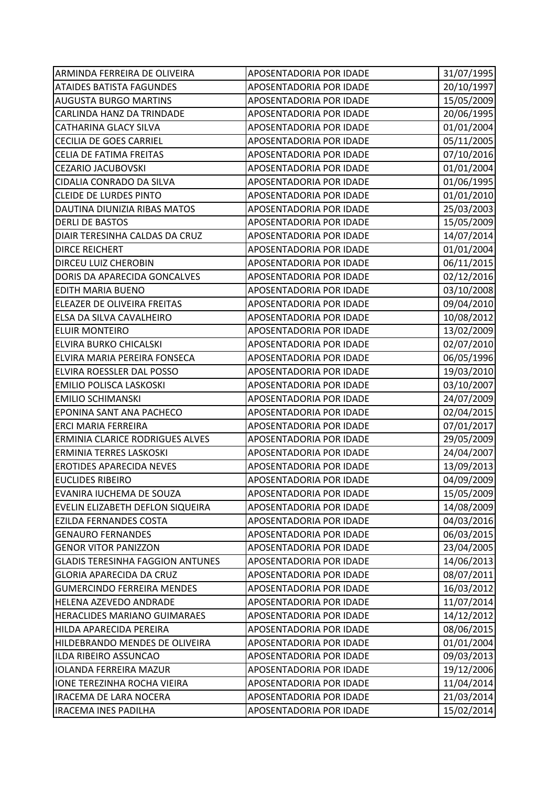| ARMINDA FERREIRA DE OLIVEIRA            | APOSENTADORIA POR IDADE | 31/07/1995 |
|-----------------------------------------|-------------------------|------------|
| <b>ATAIDES BATISTA FAGUNDES</b>         | APOSENTADORIA POR IDADE | 20/10/1997 |
| <b>AUGUSTA BURGO MARTINS</b>            | APOSENTADORIA POR IDADE | 15/05/2009 |
| CARLINDA HANZ DA TRINDADE               | APOSENTADORIA POR IDADE | 20/06/1995 |
| <b>CATHARINA GLACY SILVA</b>            | APOSENTADORIA POR IDADE | 01/01/2004 |
| <b>CECILIA DE GOES CARRIEL</b>          | APOSENTADORIA POR IDADE | 05/11/2005 |
| <b>CELIA DE FATIMA FREITAS</b>          | APOSENTADORIA POR IDADE | 07/10/2016 |
| <b>CEZARIO JACUBOVSKI</b>               | APOSENTADORIA POR IDADE | 01/01/2004 |
| CIDALIA CONRADO DA SILVA                | APOSENTADORIA POR IDADE | 01/06/1995 |
| <b>CLEIDE DE LURDES PINTO</b>           | APOSENTADORIA POR IDADE | 01/01/2010 |
| DAUTINA DIUNIZIA RIBAS MATOS            | APOSENTADORIA POR IDADE | 25/03/2003 |
| <b>DERLI DE BASTOS</b>                  | APOSENTADORIA POR IDADE | 15/05/2009 |
| DIAIR TERESINHA CALDAS DA CRUZ          | APOSENTADORIA POR IDADE | 14/07/2014 |
| <b>DIRCE REICHERT</b>                   | APOSENTADORIA POR IDADE | 01/01/2004 |
| <b>DIRCEU LUIZ CHEROBIN</b>             | APOSENTADORIA POR IDADE | 06/11/2015 |
| DORIS DA APARECIDA GONCALVES            | APOSENTADORIA POR IDADE | 02/12/2016 |
| <b>EDITH MARIA BUENO</b>                | APOSENTADORIA POR IDADE | 03/10/2008 |
| ELEAZER DE OLIVEIRA FREITAS             | APOSENTADORIA POR IDADE | 09/04/2010 |
| ELSA DA SILVA CAVALHEIRO                | APOSENTADORIA POR IDADE | 10/08/2012 |
| <b>ELUIR MONTEIRO</b>                   | APOSENTADORIA POR IDADE | 13/02/2009 |
| ELVIRA BURKO CHICALSKI                  | APOSENTADORIA POR IDADE | 02/07/2010 |
| ELVIRA MARIA PEREIRA FONSECA            | APOSENTADORIA POR IDADE | 06/05/1996 |
| ELVIRA ROESSLER DAL POSSO               | APOSENTADORIA POR IDADE | 19/03/2010 |
| EMILIO POLISCA LASKOSKI                 | APOSENTADORIA POR IDADE | 03/10/2007 |
| <b>EMILIO SCHIMANSKI</b>                | APOSENTADORIA POR IDADE | 24/07/2009 |
| EPONINA SANT ANA PACHECO                | APOSENTADORIA POR IDADE | 02/04/2015 |
| ERCI MARIA FERREIRA                     | APOSENTADORIA POR IDADE | 07/01/2017 |
| ERMINIA CLARICE RODRIGUES ALVES         | APOSENTADORIA POR IDADE | 29/05/2009 |
| ERMINIA TERRES LASKOSKI                 | APOSENTADORIA POR IDADE | 24/04/2007 |
| <b>EROTIDES APARECIDA NEVES</b>         | APOSENTADORIA POR IDADE | 13/09/2013 |
| <b>EUCLIDES RIBEIRO</b>                 | APOSENTADORIA POR IDADE | 04/09/2009 |
| EVANIRA IUCHEMA DE SOUZA                | APOSENTADORIA POR IDADE | 15/05/2009 |
| EVELIN ELIZABETH DEFLON SIQUEIRA        | APOSENTADORIA POR IDADE | 14/08/2009 |
| <b>EZILDA FERNANDES COSTA</b>           | APOSENTADORIA POR IDADE | 04/03/2016 |
| <b>GENAURO FERNANDES</b>                | APOSENTADORIA POR IDADE | 06/03/2015 |
| <b>GENOR VITOR PANIZZON</b>             | APOSENTADORIA POR IDADE | 23/04/2005 |
| <b>GLADIS TERESINHA FAGGION ANTUNES</b> | APOSENTADORIA POR IDADE | 14/06/2013 |
| <b>GLORIA APARECIDA DA CRUZ</b>         | APOSENTADORIA POR IDADE | 08/07/2011 |
| <b>GUMERCINDO FERREIRA MENDES</b>       | APOSENTADORIA POR IDADE | 16/03/2012 |
| HELENA AZEVEDO ANDRADE                  | APOSENTADORIA POR IDADE | 11/07/2014 |
| HERACLIDES MARIANO GUIMARAES            | APOSENTADORIA POR IDADE | 14/12/2012 |
| HILDA APARECIDA PEREIRA                 | APOSENTADORIA POR IDADE | 08/06/2015 |
| HILDEBRANDO MENDES DE OLIVEIRA          | APOSENTADORIA POR IDADE | 01/01/2004 |
| ILDA RIBEIRO ASSUNCAO                   | APOSENTADORIA POR IDADE | 09/03/2013 |
| <b>IOLANDA FERREIRA MAZUR</b>           | APOSENTADORIA POR IDADE | 19/12/2006 |
| <b>IONE TEREZINHA ROCHA VIEIRA</b>      | APOSENTADORIA POR IDADE | 11/04/2014 |
| <b>IRACEMA DE LARA NOCERA</b>           | APOSENTADORIA POR IDADE | 21/03/2014 |
| <b>IRACEMA INES PADILHA</b>             | APOSENTADORIA POR IDADE | 15/02/2014 |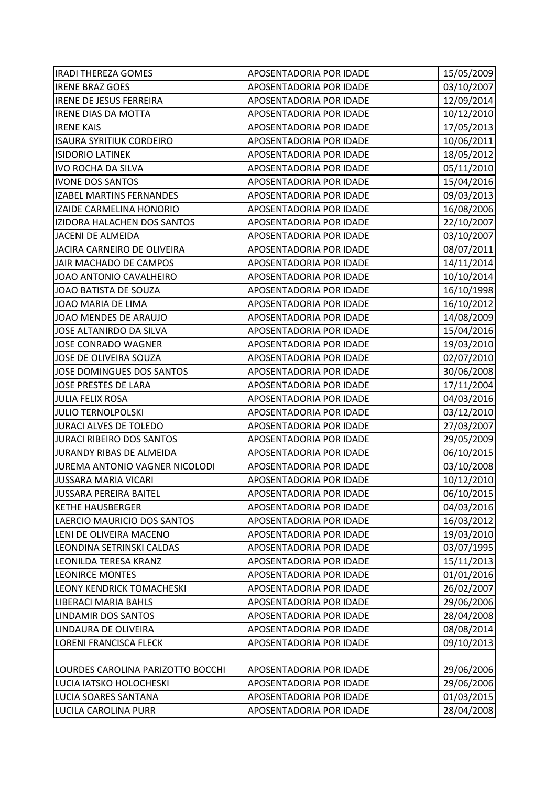| <b>IRADI THEREZA GOMES</b>        | <b>APOSENTADORIA POR IDADE</b> | 15/05/2009 |
|-----------------------------------|--------------------------------|------------|
| <b>IRENE BRAZ GOES</b>            | APOSENTADORIA POR IDADE        | 03/10/2007 |
| <b>IRENE DE JESUS FERREIRA</b>    | APOSENTADORIA POR IDADE        | 12/09/2014 |
| <b>IRENE DIAS DA MOTTA</b>        | APOSENTADORIA POR IDADE        | 10/12/2010 |
| <b>IRENE KAIS</b>                 | APOSENTADORIA POR IDADE        | 17/05/2013 |
| <b>ISAURA SYRITIUK CORDEIRO</b>   | APOSENTADORIA POR IDADE        | 10/06/2011 |
| <b>ISIDORIO LATINEK</b>           | APOSENTADORIA POR IDADE        | 18/05/2012 |
| <b>IVO ROCHA DA SILVA</b>         | APOSENTADORIA POR IDADE        | 05/11/2010 |
| <b>IVONE DOS SANTOS</b>           | APOSENTADORIA POR IDADE        | 15/04/2016 |
| <b>IZABEL MARTINS FERNANDES</b>   | APOSENTADORIA POR IDADE        | 09/03/2013 |
| IZAIDE CARMELINA HONORIO          | APOSENTADORIA POR IDADE        | 16/08/2006 |
| IZIDORA HALACHEN DOS SANTOS       | APOSENTADORIA POR IDADE        | 22/10/2007 |
| <b>JACENI DE ALMEIDA</b>          | APOSENTADORIA POR IDADE        | 03/10/2007 |
| JACIRA CARNEIRO DE OLIVEIRA       | APOSENTADORIA POR IDADE        | 08/07/2011 |
| JAIR MACHADO DE CAMPOS            | APOSENTADORIA POR IDADE        | 14/11/2014 |
| JOAO ANTONIO CAVALHEIRO           | APOSENTADORIA POR IDADE        | 10/10/2014 |
| JOAO BATISTA DE SOUZA             | APOSENTADORIA POR IDADE        | 16/10/1998 |
| JOAO MARIA DE LIMA                | APOSENTADORIA POR IDADE        | 16/10/2012 |
| JOAO MENDES DE ARAUJO             | APOSENTADORIA POR IDADE        | 14/08/2009 |
| JOSE ALTANIRDO DA SILVA           | APOSENTADORIA POR IDADE        | 15/04/2016 |
| <b>JOSE CONRADO WAGNER</b>        | APOSENTADORIA POR IDADE        | 19/03/2010 |
| JOSE DE OLIVEIRA SOUZA            | APOSENTADORIA POR IDADE        | 02/07/2010 |
| JOSE DOMINGUES DOS SANTOS         | APOSENTADORIA POR IDADE        | 30/06/2008 |
| JOSE PRESTES DE LARA              | APOSENTADORIA POR IDADE        | 17/11/2004 |
| <b>JULIA FELIX ROSA</b>           | APOSENTADORIA POR IDADE        | 04/03/2016 |
| <b>JULIO TERNOLPOLSKI</b>         | APOSENTADORIA POR IDADE        | 03/12/2010 |
| JURACI ALVES DE TOLEDO            | APOSENTADORIA POR IDADE        | 27/03/2007 |
| JURACI RIBEIRO DOS SANTOS         | APOSENTADORIA POR IDADE        | 29/05/2009 |
| JURANDY RIBAS DE ALMEIDA          | APOSENTADORIA POR IDADE        | 06/10/2015 |
| JUREMA ANTONIO VAGNER NICOLODI    | APOSENTADORIA POR IDADE        | 03/10/2008 |
| JUSSARA MARIA VICARI              | APOSENTADORIA POR IDADE        | 10/12/2010 |
| <b>JUSSARA PEREIRA BAITEL</b>     | APOSENTADORIA POR IDADE        | 06/10/2015 |
| <b>KETHE HAUSBERGER</b>           | APOSENTADORIA POR IDADE        | 04/03/2016 |
| LAERCIO MAURICIO DOS SANTOS       | APOSENTADORIA POR IDADE        | 16/03/2012 |
| LENI DE OLIVEIRA MACENO           | APOSENTADORIA POR IDADE        | 19/03/2010 |
| LEONDINA SETRINSKI CALDAS         | APOSENTADORIA POR IDADE        | 03/07/1995 |
| LEONILDA TERESA KRANZ             | APOSENTADORIA POR IDADE        | 15/11/2013 |
| <b>LEONIRCE MONTES</b>            | APOSENTADORIA POR IDADE        | 01/01/2016 |
| LEONY KENDRICK TOMACHESKI         | APOSENTADORIA POR IDADE        | 26/02/2007 |
| <b>LIBERACI MARIA BAHLS</b>       | APOSENTADORIA POR IDADE        | 29/06/2006 |
| LINDAMIR DOS SANTOS               | APOSENTADORIA POR IDADE        | 28/04/2008 |
| LINDAURA DE OLIVEIRA              | APOSENTADORIA POR IDADE        | 08/08/2014 |
| LORENI FRANCISCA FLECK            | APOSENTADORIA POR IDADE        | 09/10/2013 |
|                                   |                                |            |
| LOURDES CAROLINA PARIZOTTO BOCCHI | APOSENTADORIA POR IDADE        | 29/06/2006 |
| LUCIA IATSKO HOLOCHESKI           | APOSENTADORIA POR IDADE        | 29/06/2006 |
| <b>LUCIA SOARES SANTANA</b>       | APOSENTADORIA POR IDADE        | 01/03/2015 |
| LUCILA CAROLINA PURR              | APOSENTADORIA POR IDADE        | 28/04/2008 |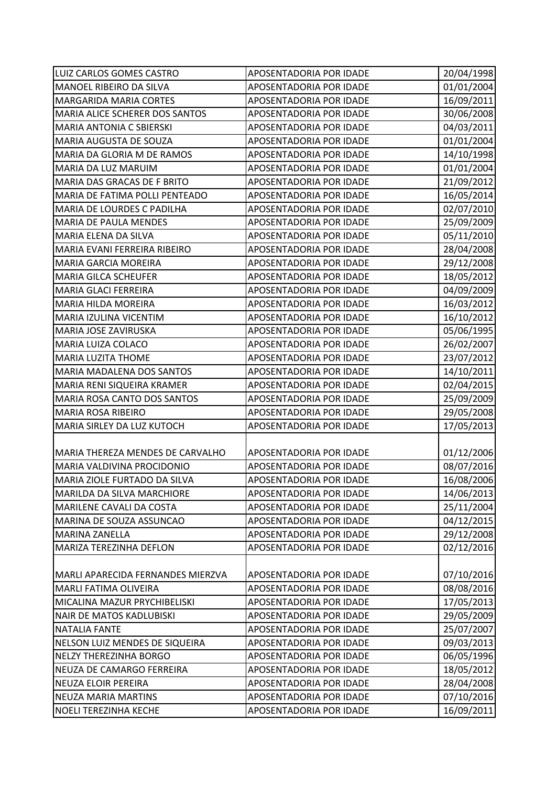| LUIZ CARLOS GOMES CASTRO          | APOSENTADORIA POR IDADE        | 20/04/1998 |
|-----------------------------------|--------------------------------|------------|
| MANOEL RIBEIRO DA SILVA           | APOSENTADORIA POR IDADE        | 01/01/2004 |
| <b>MARGARIDA MARIA CORTES</b>     | APOSENTADORIA POR IDADE        | 16/09/2011 |
| MARIA ALICE SCHERER DOS SANTOS    | APOSENTADORIA POR IDADE        | 30/06/2008 |
| <b>MARIA ANTONIA C SBIERSKI</b>   | APOSENTADORIA POR IDADE        | 04/03/2011 |
| MARIA AUGUSTA DE SOUZA            | APOSENTADORIA POR IDADE        | 01/01/2004 |
| MARIA DA GLORIA M DE RAMOS        | APOSENTADORIA POR IDADE        | 14/10/1998 |
| MARIA DA LUZ MARUIM               | APOSENTADORIA POR IDADE        | 01/01/2004 |
| MARIA DAS GRACAS DE F BRITO       | APOSENTADORIA POR IDADE        | 21/09/2012 |
| MARIA DE FATIMA POLLI PENTEADO    | APOSENTADORIA POR IDADE        | 16/05/2014 |
| MARIA DE LOURDES C PADILHA        | APOSENTADORIA POR IDADE        | 02/07/2010 |
| MARIA DE PAULA MENDES             | APOSENTADORIA POR IDADE        | 25/09/2009 |
| MARIA ELENA DA SILVA              | APOSENTADORIA POR IDADE        | 05/11/2010 |
| MARIA EVANI FERREIRA RIBEIRO      | APOSENTADORIA POR IDADE        | 28/04/2008 |
| <b>MARIA GARCIA MOREIRA</b>       | APOSENTADORIA POR IDADE        | 29/12/2008 |
| <b>MARIA GILCA SCHEUFER</b>       | APOSENTADORIA POR IDADE        | 18/05/2012 |
| MARIA GLACI FERREIRA              | APOSENTADORIA POR IDADE        | 04/09/2009 |
| MARIA HILDA MOREIRA               | APOSENTADORIA POR IDADE        | 16/03/2012 |
| MARIA IZULINA VICENTIM            | APOSENTADORIA POR IDADE        | 16/10/2012 |
| MARIA JOSE ZAVIRUSKA              | APOSENTADORIA POR IDADE        | 05/06/1995 |
| MARIA LUIZA COLACO                | APOSENTADORIA POR IDADE        | 26/02/2007 |
| MARIA LUZITA THOME                | APOSENTADORIA POR IDADE        | 23/07/2012 |
| MARIA MADALENA DOS SANTOS         | APOSENTADORIA POR IDADE        | 14/10/2011 |
| MARIA RENI SIQUEIRA KRAMER        | APOSENTADORIA POR IDADE        | 02/04/2015 |
| MARIA ROSA CANTO DOS SANTOS       | APOSENTADORIA POR IDADE        | 25/09/2009 |
| <b>MARIA ROSA RIBEIRO</b>         | APOSENTADORIA POR IDADE        | 29/05/2008 |
| MARIA SIRLEY DA LUZ KUTOCH        | APOSENTADORIA POR IDADE        | 17/05/2013 |
|                                   |                                |            |
| MARIA THEREZA MENDES DE CARVALHO  | APOSENTADORIA POR IDADE        | 01/12/2006 |
| MARIA VALDIVINA PROCIDONIO        | APOSENTADORIA POR IDADE        | 08/07/2016 |
| MARIA ZIOLE FURTADO DA SILVA      | <b>APOSENTADORIA POR IDADE</b> | 16/08/2006 |
| MARILDA DA SILVA MARCHIORE        | APOSENTADORIA POR IDADE        | 14/06/2013 |
| MARILENE CAVALI DA COSTA          | APOSENTADORIA POR IDADE        | 25/11/2004 |
| MARINA DE SOUZA ASSUNCAO          | APOSENTADORIA POR IDADE        | 04/12/2015 |
| <b>MARINA ZANELLA</b>             | APOSENTADORIA POR IDADE        | 29/12/2008 |
| MARIZA TEREZINHA DEFLON           | APOSENTADORIA POR IDADE        | 02/12/2016 |
|                                   |                                |            |
| MARLI APARECIDA FERNANDES MIERZVA | APOSENTADORIA POR IDADE        | 07/10/2016 |
| MARLI FATIMA OLIVEIRA             | APOSENTADORIA POR IDADE        | 08/08/2016 |
| MICALINA MAZUR PRYCHIBELISKI      | APOSENTADORIA POR IDADE        | 17/05/2013 |
| <b>NAIR DE MATOS KADLUBISKI</b>   | APOSENTADORIA POR IDADE        | 29/05/2009 |
| <b>NATALIA FANTE</b>              | APOSENTADORIA POR IDADE        | 25/07/2007 |
| NELSON LUIZ MENDES DE SIQUEIRA    | APOSENTADORIA POR IDADE        | 09/03/2013 |
| <b>NELZY THEREZINHA BORGO</b>     | APOSENTADORIA POR IDADE        | 06/05/1996 |
| NEUZA DE CAMARGO FERREIRA         | APOSENTADORIA POR IDADE        | 18/05/2012 |
| NEUZA ELOIR PEREIRA               | APOSENTADORIA POR IDADE        | 28/04/2008 |
| NEUZA MARIA MARTINS               | APOSENTADORIA POR IDADE        | 07/10/2016 |
| NOELI TEREZINHA KECHE             | APOSENTADORIA POR IDADE        | 16/09/2011 |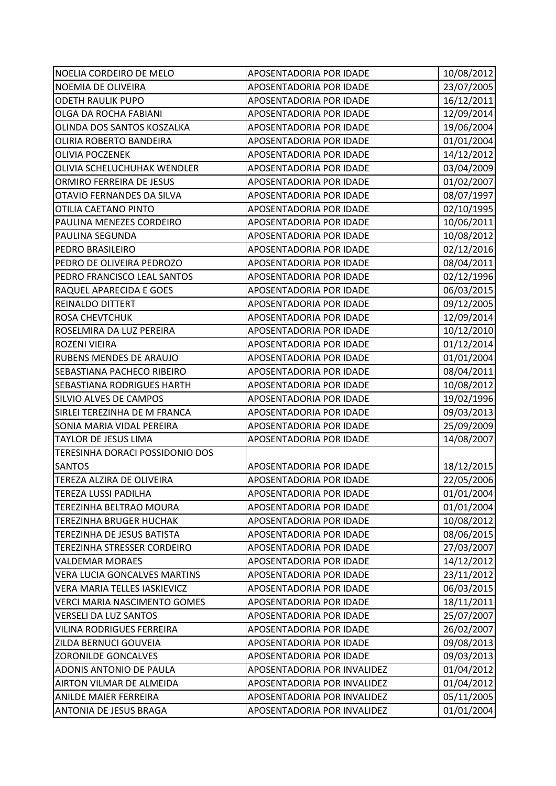| NOELIA CORDEIRO DE MELO             | APOSENTADORIA POR IDADE     | 10/08/2012 |
|-------------------------------------|-----------------------------|------------|
| NOEMIA DE OLIVEIRA                  | APOSENTADORIA POR IDADE     | 23/07/2005 |
| <b>ODETH RAULIK PUPO</b>            | APOSENTADORIA POR IDADE     | 16/12/2011 |
| OLGA DA ROCHA FABIANI               | APOSENTADORIA POR IDADE     | 12/09/2014 |
| OLINDA DOS SANTOS KOSZALKA          | APOSENTADORIA POR IDADE     | 19/06/2004 |
| OLIRIA ROBERTO BANDEIRA             | APOSENTADORIA POR IDADE     | 01/01/2004 |
| <b>OLIVIA POCZENEK</b>              | APOSENTADORIA POR IDADE     | 14/12/2012 |
| OLIVIA SCHELUCHUHAK WENDLER         | APOSENTADORIA POR IDADE     | 03/04/2009 |
| ORMIRO FERREIRA DE JESUS            | APOSENTADORIA POR IDADE     | 01/02/2007 |
| OTAVIO FERNANDES DA SILVA           | APOSENTADORIA POR IDADE     | 08/07/1997 |
| OTILIA CAETANO PINTO                | APOSENTADORIA POR IDADE     | 02/10/1995 |
| PAULINA MENEZES CORDEIRO            | APOSENTADORIA POR IDADE     | 10/06/2011 |
| PAULINA SEGUNDA                     | APOSENTADORIA POR IDADE     | 10/08/2012 |
| PEDRO BRASILEIRO                    | APOSENTADORIA POR IDADE     | 02/12/2016 |
| PEDRO DE OLIVEIRA PEDROZO           | APOSENTADORIA POR IDADE     | 08/04/2011 |
| PEDRO FRANCISCO LEAL SANTOS         | APOSENTADORIA POR IDADE     | 02/12/1996 |
| RAQUEL APARECIDA E GOES             | APOSENTADORIA POR IDADE     | 06/03/2015 |
| REINALDO DITTERT                    | APOSENTADORIA POR IDADE     | 09/12/2005 |
| <b>ROSA CHEVTCHUK</b>               | APOSENTADORIA POR IDADE     | 12/09/2014 |
| ROSELMIRA DA LUZ PEREIRA            | APOSENTADORIA POR IDADE     | 10/12/2010 |
| ROZENI VIEIRA                       | APOSENTADORIA POR IDADE     | 01/12/2014 |
| RUBENS MENDES DE ARAUJO             | APOSENTADORIA POR IDADE     | 01/01/2004 |
| SEBASTIANA PACHECO RIBEIRO          | APOSENTADORIA POR IDADE     | 08/04/2011 |
| <b>SEBASTIANA RODRIGUES HARTH</b>   | APOSENTADORIA POR IDADE     | 10/08/2012 |
| SILVIO ALVES DE CAMPOS              | APOSENTADORIA POR IDADE     | 19/02/1996 |
| SIRLEI TEREZINHA DE M FRANCA        | APOSENTADORIA POR IDADE     | 09/03/2013 |
| SONIA MARIA VIDAL PEREIRA           | APOSENTADORIA POR IDADE     | 25/09/2009 |
| <b>TAYLOR DE JESUS LIMA</b>         | APOSENTADORIA POR IDADE     | 14/08/2007 |
| TERESINHA DORACI POSSIDONIO DOS     |                             |            |
| <b>SANTOS</b>                       | APOSENTADORIA POR IDADE     | 18/12/2015 |
| TEREZA ALZIRA DE OLIVEIRA           | APOSENTADORIA POR IDADE     | 22/05/2006 |
| TEREZA LUSSI PADILHA                | APOSENTADORIA POR IDADE     | 01/01/2004 |
| TEREZINHA BELTRAO MOURA             | APOSENTADORIA POR IDADE     | 01/01/2004 |
| <b>TEREZINHA BRUGER HUCHAK</b>      | APOSENTADORIA POR IDADE     | 10/08/2012 |
| TEREZINHA DE JESUS BATISTA          | APOSENTADORIA POR IDADE     | 08/06/2015 |
| TEREZINHA STRESSER CORDEIRO         | APOSENTADORIA POR IDADE     | 27/03/2007 |
| <b>VALDEMAR MORAES</b>              | APOSENTADORIA POR IDADE     | 14/12/2012 |
| <b>VERA LUCIA GONCALVES MARTINS</b> | APOSENTADORIA POR IDADE     | 23/11/2012 |
| VERA MARIA TELLES IASKIEVICZ        | APOSENTADORIA POR IDADE     | 06/03/2015 |
| <b>VERCI MARIA NASCIMENTO GOMES</b> | APOSENTADORIA POR IDADE     | 18/11/2011 |
| <b>VERSELI DA LUZ SANTOS</b>        | APOSENTADORIA POR IDADE     | 25/07/2007 |
| <b>VILINA RODRIGUES FERREIRA</b>    | APOSENTADORIA POR IDADE     | 26/02/2007 |
| ZILDA BERNUCI GOUVEIA               | APOSENTADORIA POR IDADE     | 09/08/2013 |
| <b>ZORONILDE GONCALVES</b>          | APOSENTADORIA POR IDADE     | 09/03/2013 |
| ADONIS ANTONIO DE PAULA             | APOSENTADORIA POR INVALIDEZ | 01/04/2012 |
| AIRTON VILMAR DE ALMEIDA            | APOSENTADORIA POR INVALIDEZ | 01/04/2012 |
| <b>ANILDE MAIER FERREIRA</b>        | APOSENTADORIA POR INVALIDEZ | 05/11/2005 |
| <b>ANTONIA DE JESUS BRAGA</b>       | APOSENTADORIA POR INVALIDEZ | 01/01/2004 |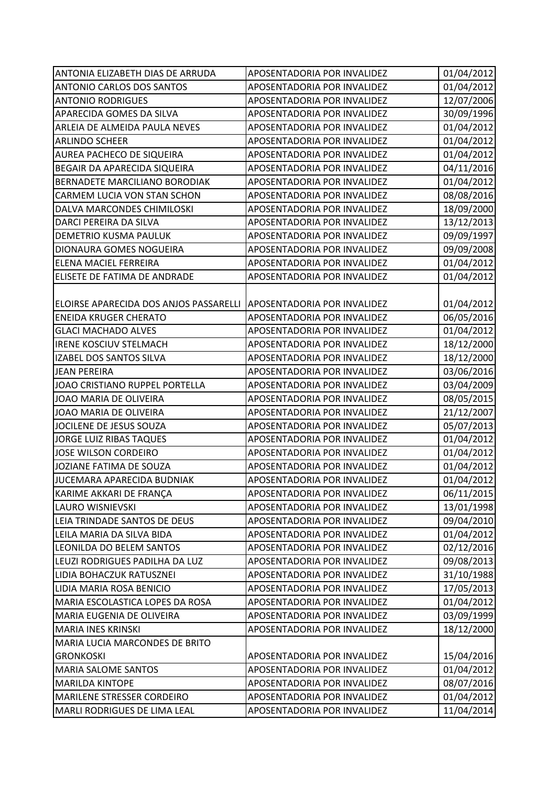| ANTONIA ELIZABETH DIAS DE ARRUDA                                   | APOSENTADORIA POR INVALIDEZ        | 01/04/2012 |
|--------------------------------------------------------------------|------------------------------------|------------|
| <b>ANTONIO CARLOS DOS SANTOS</b>                                   | APOSENTADORIA POR INVALIDEZ        | 01/04/2012 |
| <b>ANTONIO RODRIGUES</b>                                           | APOSENTADORIA POR INVALIDEZ        | 12/07/2006 |
| APARECIDA GOMES DA SILVA                                           | APOSENTADORIA POR INVALIDEZ        | 30/09/1996 |
| ARLEIA DE ALMEIDA PAULA NEVES                                      | APOSENTADORIA POR INVALIDEZ        | 01/04/2012 |
| <b>ARLINDO SCHEER</b>                                              | APOSENTADORIA POR INVALIDEZ        | 01/04/2012 |
| AUREA PACHECO DE SIQUEIRA                                          | APOSENTADORIA POR INVALIDEZ        | 01/04/2012 |
| BEGAIR DA APARECIDA SIQUEIRA                                       | APOSENTADORIA POR INVALIDEZ        | 04/11/2016 |
| BERNADETE MARCILIANO BORODIAK                                      | APOSENTADORIA POR INVALIDEZ        | 01/04/2012 |
| CARMEM LUCIA VON STAN SCHON                                        | APOSENTADORIA POR INVALIDEZ        | 08/08/2016 |
| DALVA MARCONDES CHIMILOSKI                                         | APOSENTADORIA POR INVALIDEZ        | 18/09/2000 |
| DARCI PEREIRA DA SILVA                                             | APOSENTADORIA POR INVALIDEZ        | 13/12/2013 |
| <b>DEMETRIO KUSMA PAULUK</b>                                       | APOSENTADORIA POR INVALIDEZ        | 09/09/1997 |
| DIONAURA GOMES NOGUEIRA                                            | APOSENTADORIA POR INVALIDEZ        | 09/09/2008 |
| ELENA MACIEL FERREIRA                                              | APOSENTADORIA POR INVALIDEZ        | 01/04/2012 |
| ELISETE DE FATIMA DE ANDRADE                                       | APOSENTADORIA POR INVALIDEZ        | 01/04/2012 |
|                                                                    |                                    |            |
| ELOIRSE APARECIDA DOS ANJOS PASSARELLI APOSENTADORIA POR INVALIDEZ |                                    | 01/04/2012 |
| <b>ENEIDA KRUGER CHERATO</b>                                       | APOSENTADORIA POR INVALIDEZ        | 06/05/2016 |
| <b>GLACI MACHADO ALVES</b>                                         | APOSENTADORIA POR INVALIDEZ        | 01/04/2012 |
| <b>IRENE KOSCIUV STELMACH</b>                                      | APOSENTADORIA POR INVALIDEZ        | 18/12/2000 |
| IZABEL DOS SANTOS SILVA                                            | APOSENTADORIA POR INVALIDEZ        | 18/12/2000 |
| <b>JEAN PEREIRA</b>                                                | APOSENTADORIA POR INVALIDEZ        | 03/06/2016 |
| JOAO CRISTIANO RUPPEL PORTELLA                                     | APOSENTADORIA POR INVALIDEZ        | 03/04/2009 |
| JOAO MARIA DE OLIVEIRA                                             | APOSENTADORIA POR INVALIDEZ        | 08/05/2015 |
| JOAO MARIA DE OLIVEIRA                                             | APOSENTADORIA POR INVALIDEZ        | 21/12/2007 |
| JOCILENE DE JESUS SOUZA                                            | APOSENTADORIA POR INVALIDEZ        | 05/07/2013 |
| <b>JORGE LUIZ RIBAS TAQUES</b>                                     | APOSENTADORIA POR INVALIDEZ        | 01/04/2012 |
| <b>JOSE WILSON CORDEIRO</b>                                        | APOSENTADORIA POR INVALIDEZ        | 01/04/2012 |
| JOZIANE FATIMA DE SOUZA                                            | APOSENTADORIA POR INVALIDEZ        | 01/04/2012 |
| JUCEMARA APARECIDA BUDNIAK                                         | <b>APOSENTADORIA POR INVALIDEZ</b> | 01/04/2012 |
| KARIME AKKARI DE FRANÇA                                            | APOSENTADORIA POR INVALIDEZ        | 06/11/2015 |
| <b>LAURO WISNIEVSKI</b>                                            | APOSENTADORIA POR INVALIDEZ        | 13/01/1998 |
| LEIA TRINDADE SANTOS DE DEUS                                       | APOSENTADORIA POR INVALIDEZ        | 09/04/2010 |
| LEILA MARIA DA SILVA BIDA                                          | APOSENTADORIA POR INVALIDEZ        | 01/04/2012 |
| LEONILDA DO BELEM SANTOS                                           | APOSENTADORIA POR INVALIDEZ        | 02/12/2016 |
| LEUZI RODRIGUES PADILHA DA LUZ                                     | APOSENTADORIA POR INVALIDEZ        | 09/08/2013 |
| LIDIA BOHACZUK RATUSZNEI                                           | APOSENTADORIA POR INVALIDEZ        | 31/10/1988 |
| LIDIA MARIA ROSA BENICIO                                           | APOSENTADORIA POR INVALIDEZ        | 17/05/2013 |
| MARIA ESCOLASTICA LOPES DA ROSA                                    | APOSENTADORIA POR INVALIDEZ        | 01/04/2012 |
| MARIA EUGENIA DE OLIVEIRA                                          | APOSENTADORIA POR INVALIDEZ        | 03/09/1999 |
| <b>MARIA INES KRINSKI</b>                                          | APOSENTADORIA POR INVALIDEZ        | 18/12/2000 |
| <b>MARIA LUCIA MARCONDES DE BRITO</b>                              |                                    |            |
| <b>GRONKOSKI</b>                                                   | APOSENTADORIA POR INVALIDEZ        | 15/04/2016 |
| <b>MARIA SALOME SANTOS</b>                                         | APOSENTADORIA POR INVALIDEZ        | 01/04/2012 |
| <b>MARILDA KINTOPE</b>                                             | APOSENTADORIA POR INVALIDEZ        | 08/07/2016 |
| <b>MARILENE STRESSER CORDEIRO</b>                                  | APOSENTADORIA POR INVALIDEZ        | 01/04/2012 |
| MARLI RODRIGUES DE LIMA LEAL                                       | APOSENTADORIA POR INVALIDEZ        | 11/04/2014 |
|                                                                    |                                    |            |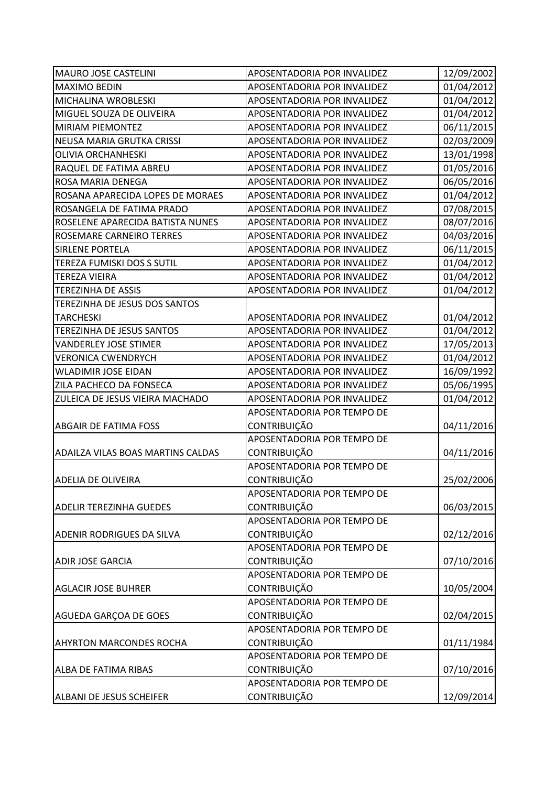| <b>MAURO JOSE CASTELINI</b>              | APOSENTADORIA POR INVALIDEZ | 12/09/2002 |
|------------------------------------------|-----------------------------|------------|
| <b>MAXIMO BEDIN</b>                      | APOSENTADORIA POR INVALIDEZ | 01/04/2012 |
| MICHALINA WROBLESKI                      | APOSENTADORIA POR INVALIDEZ | 01/04/2012 |
| MIGUEL SOUZA DE OLIVEIRA                 | APOSENTADORIA POR INVALIDEZ | 01/04/2012 |
| <b>MIRIAM PIEMONTEZ</b>                  | APOSENTADORIA POR INVALIDEZ | 06/11/2015 |
| NEUSA MARIA GRUTKA CRISSI                | APOSENTADORIA POR INVALIDEZ | 02/03/2009 |
| <b>OLIVIA ORCHANHESKI</b>                | APOSENTADORIA POR INVALIDEZ | 13/01/1998 |
| RAQUEL DE FATIMA ABREU                   | APOSENTADORIA POR INVALIDEZ | 01/05/2016 |
| ROSA MARIA DENEGA                        | APOSENTADORIA POR INVALIDEZ | 06/05/2016 |
| ROSANA APARECIDA LOPES DE MORAES         | APOSENTADORIA POR INVALIDEZ | 01/04/2012 |
| ROSANGELA DE FATIMA PRADO                | APOSENTADORIA POR INVALIDEZ | 07/08/2015 |
| ROSELENE APARECIDA BATISTA NUNES         | APOSENTADORIA POR INVALIDEZ | 08/07/2016 |
| ROSEMARE CARNEIRO TERRES                 | APOSENTADORIA POR INVALIDEZ | 04/03/2016 |
| <b>SIRLENE PORTELA</b>                   | APOSENTADORIA POR INVALIDEZ | 06/11/2015 |
| TEREZA FUMISKI DOS S SUTIL               | APOSENTADORIA POR INVALIDEZ | 01/04/2012 |
| <b>TEREZA VIEIRA</b>                     | APOSENTADORIA POR INVALIDEZ | 01/04/2012 |
| <b>TEREZINHA DE ASSIS</b>                | APOSENTADORIA POR INVALIDEZ | 01/04/2012 |
| TEREZINHA DE JESUS DOS SANTOS            |                             |            |
| <b>TARCHESKI</b>                         | APOSENTADORIA POR INVALIDEZ | 01/04/2012 |
| TEREZINHA DE JESUS SANTOS                | APOSENTADORIA POR INVALIDEZ | 01/04/2012 |
| <b>VANDERLEY JOSE STIMER</b>             | APOSENTADORIA POR INVALIDEZ | 17/05/2013 |
| <b>VERONICA CWENDRYCH</b>                | APOSENTADORIA POR INVALIDEZ | 01/04/2012 |
| <b>WLADIMIR JOSE EIDAN</b>               | APOSENTADORIA POR INVALIDEZ | 16/09/1992 |
| ZILA PACHECO DA FONSECA                  | APOSENTADORIA POR INVALIDEZ | 05/06/1995 |
| ZULEICA DE JESUS VIEIRA MACHADO          | APOSENTADORIA POR INVALIDEZ | 01/04/2012 |
|                                          | APOSENTADORIA POR TEMPO DE  |            |
| ABGAIR DE FATIMA FOSS                    | <b>CONTRIBUIÇÃO</b>         | 04/11/2016 |
|                                          | APOSENTADORIA POR TEMPO DE  |            |
| <b>ADAILZA VILAS BOAS MARTINS CALDAS</b> | <b>CONTRIBUIÇÃO</b>         | 04/11/2016 |
|                                          | APOSENTADORIA POR TEMPO DE  |            |
| IADELIA DE OLIVEIRA                      | <b>CONTRIBUICÃO</b>         | 25/02/2006 |
|                                          | APOSENTADORIA POR TEMPO DE  |            |
| <b>ADELIR TEREZINHA GUEDES</b>           | <b>CONTRIBUIÇÃO</b>         | 06/03/2015 |
|                                          | APOSENTADORIA POR TEMPO DE  |            |
| ADENIR RODRIGUES DA SILVA                | <b>CONTRIBUIÇÃO</b>         | 02/12/2016 |
|                                          | APOSENTADORIA POR TEMPO DE  |            |
| <b>ADIR JOSE GARCIA</b>                  | <b>CONTRIBUIÇÃO</b>         | 07/10/2016 |
|                                          | APOSENTADORIA POR TEMPO DE  |            |
| <b>AGLACIR JOSE BUHRER</b>               | <b>CONTRIBUIÇÃO</b>         | 10/05/2004 |
|                                          | APOSENTADORIA POR TEMPO DE  |            |
| AGUEDA GARÇOA DE GOES                    | <b>CONTRIBUIÇÃO</b>         | 02/04/2015 |
|                                          | APOSENTADORIA POR TEMPO DE  |            |
| <b>AHYRTON MARCONDES ROCHA</b>           | <b>CONTRIBUIÇÃO</b>         | 01/11/1984 |
|                                          | APOSENTADORIA POR TEMPO DE  |            |
| ALBA DE FATIMA RIBAS                     | <b>CONTRIBUIÇÃO</b>         | 07/10/2016 |
|                                          | APOSENTADORIA POR TEMPO DE  |            |
| ALBANI DE JESUS SCHEIFER                 | CONTRIBUIÇÃO                | 12/09/2014 |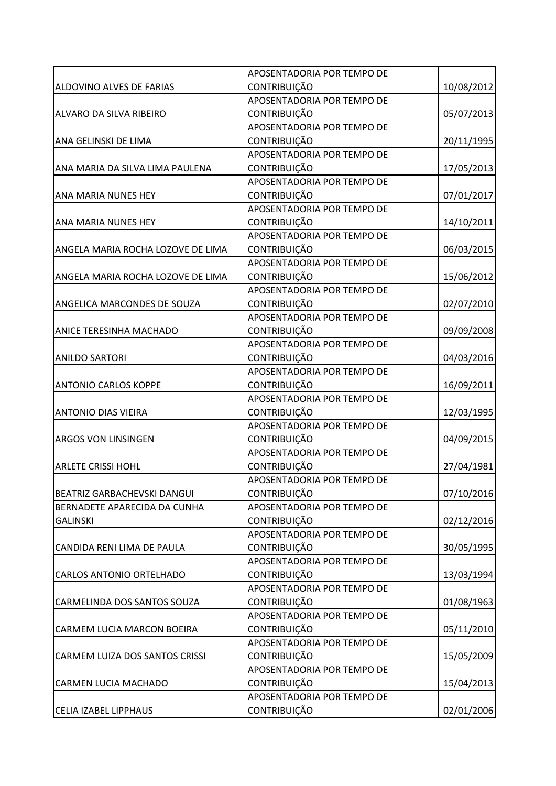|                                    | APOSENTADORIA POR TEMPO DE |            |
|------------------------------------|----------------------------|------------|
| ALDOVINO ALVES DE FARIAS           | <b>CONTRIBUIÇÃO</b>        | 10/08/2012 |
|                                    | APOSENTADORIA POR TEMPO DE |            |
| ALVARO DA SILVA RIBEIRO            | <b>CONTRIBUIÇÃO</b>        | 05/07/2013 |
|                                    | APOSENTADORIA POR TEMPO DE |            |
| ANA GELINSKI DE LIMA               | <b>CONTRIBUIÇÃO</b>        | 20/11/1995 |
|                                    | APOSENTADORIA POR TEMPO DE |            |
| ANA MARIA DA SILVA LIMA PAULENA    | <b>CONTRIBUIÇÃO</b>        | 17/05/2013 |
|                                    | APOSENTADORIA POR TEMPO DE |            |
| <b>ANA MARIA NUNES HEY</b>         | <b>CONTRIBUIÇÃO</b>        | 07/01/2017 |
|                                    | APOSENTADORIA POR TEMPO DE |            |
| ANA MARIA NUNES HEY                | CONTRIBUIÇÃO               | 14/10/2011 |
|                                    | APOSENTADORIA POR TEMPO DE |            |
| ANGELA MARIA ROCHA LOZOVE DE LIMA  | CONTRIBUIÇÃO               | 06/03/2015 |
|                                    | APOSENTADORIA POR TEMPO DE |            |
| ANGELA MARIA ROCHA LOZOVE DE LIMA  | CONTRIBUIÇÃO               | 15/06/2012 |
|                                    | APOSENTADORIA POR TEMPO DE |            |
| <b>ANGELICA MARCONDES DE SOUZA</b> | <b>CONTRIBUIÇÃO</b>        | 02/07/2010 |
|                                    | APOSENTADORIA POR TEMPO DE |            |
| <b>ANICE TERESINHA MACHADO</b>     | <b>CONTRIBUIÇÃO</b>        | 09/09/2008 |
|                                    | APOSENTADORIA POR TEMPO DE |            |
| <b>ANILDO SARTORI</b>              | <b>CONTRIBUIÇÃO</b>        | 04/03/2016 |
|                                    | APOSENTADORIA POR TEMPO DE |            |
| <b>ANTONIO CARLOS KOPPE</b>        | <b>CONTRIBUIÇÃO</b>        | 16/09/2011 |
|                                    | APOSENTADORIA POR TEMPO DE |            |
| <b>ANTONIO DIAS VIEIRA</b>         | CONTRIBUIÇÃO               | 12/03/1995 |
|                                    | APOSENTADORIA POR TEMPO DE |            |
| <b>ARGOS VON LINSINGEN</b>         | <b>CONTRIBUIÇÃO</b>        | 04/09/2015 |
|                                    | APOSENTADORIA POR TEMPO DE |            |
| <b>ARLETE CRISSI HOHL</b>          | <b>CONTRIBUIÇÃO</b>        | 27/04/1981 |
|                                    | APOSENTADORIA POR TEMPO DE |            |
| <b>BEATRIZ GARBACHEVSKI DANGUI</b> | <b>CONTRIBUIÇÃO</b>        | 07/10/2016 |
| BERNADETE APARECIDA DA CUNHA       | APOSENTADORIA POR TEMPO DE |            |
| <b>GALINSKI</b>                    | CONTRIBUIÇÃO               | 02/12/2016 |
|                                    | APOSENTADORIA POR TEMPO DE |            |
| CANDIDA RENI LIMA DE PAULA         | <b>CONTRIBUIÇÃO</b>        | 30/05/1995 |
|                                    | APOSENTADORIA POR TEMPO DE |            |
| <b>CARLOS ANTONIO ORTELHADO</b>    | CONTRIBUIÇÃO               | 13/03/1994 |
|                                    | APOSENTADORIA POR TEMPO DE |            |
| CARMELINDA DOS SANTOS SOUZA        | <b>CONTRIBUIÇÃO</b>        | 01/08/1963 |
|                                    | APOSENTADORIA POR TEMPO DE |            |
| CARMEM LUCIA MARCON BOEIRA         | <b>CONTRIBUIÇÃO</b>        | 05/11/2010 |
|                                    | APOSENTADORIA POR TEMPO DE |            |
| CARMEM LUIZA DOS SANTOS CRISSI     | <b>CONTRIBUIÇÃO</b>        | 15/05/2009 |
|                                    | APOSENTADORIA POR TEMPO DE |            |
| <b>CARMEN LUCIA MACHADO</b>        | <b>CONTRIBUIÇÃO</b>        | 15/04/2013 |
|                                    | APOSENTADORIA POR TEMPO DE |            |
| <b>CELIA IZABEL LIPPHAUS</b>       | CONTRIBUIÇÃO               | 02/01/2006 |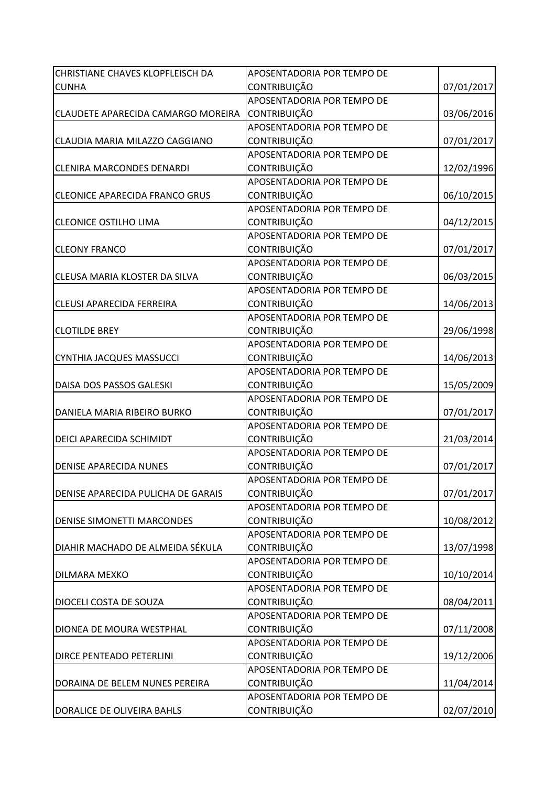| CHRISTIANE CHAVES KLOPFLEISCH DA      | APOSENTADORIA POR TEMPO DE |            |
|---------------------------------------|----------------------------|------------|
| <b>CUNHA</b>                          | <b>CONTRIBUIÇÃO</b>        | 07/01/2017 |
|                                       | APOSENTADORIA POR TEMPO DE |            |
| CLAUDETE APARECIDA CAMARGO MOREIRA    | <b>CONTRIBUIÇÃO</b>        | 03/06/2016 |
|                                       | APOSENTADORIA POR TEMPO DE |            |
| CLAUDIA MARIA MILAZZO CAGGIANO        | <b>CONTRIBUIÇÃO</b>        | 07/01/2017 |
|                                       | APOSENTADORIA POR TEMPO DE |            |
| <b>CLENIRA MARCONDES DENARDI</b>      | <b>CONTRIBUIÇÃO</b>        | 12/02/1996 |
|                                       | APOSENTADORIA POR TEMPO DE |            |
| <b>CLEONICE APARECIDA FRANCO GRUS</b> | <b>CONTRIBUIÇÃO</b>        | 06/10/2015 |
|                                       | APOSENTADORIA POR TEMPO DE |            |
| <b>CLEONICE OSTILHO LIMA</b>          | CONTRIBUIÇÃO               | 04/12/2015 |
|                                       | APOSENTADORIA POR TEMPO DE |            |
| <b>CLEONY FRANCO</b>                  | <b>CONTRIBUIÇÃO</b>        | 07/01/2017 |
|                                       | APOSENTADORIA POR TEMPO DE |            |
| CLEUSA MARIA KLOSTER DA SILVA         | CONTRIBUIÇÃO               | 06/03/2015 |
|                                       | APOSENTADORIA POR TEMPO DE |            |
| <b>CLEUSI APARECIDA FERREIRA</b>      | <b>CONTRIBUIÇÃO</b>        | 14/06/2013 |
|                                       | APOSENTADORIA POR TEMPO DE |            |
| <b>CLOTILDE BREY</b>                  | <b>CONTRIBUIÇÃO</b>        | 29/06/1998 |
|                                       | APOSENTADORIA POR TEMPO DE |            |
| CYNTHIA JACQUES MASSUCCI              | <b>CONTRIBUIÇÃO</b>        | 14/06/2013 |
|                                       | APOSENTADORIA POR TEMPO DE |            |
| DAISA DOS PASSOS GALESKI              | <b>CONTRIBUIÇÃO</b>        | 15/05/2009 |
|                                       | APOSENTADORIA POR TEMPO DE |            |
| DANIELA MARIA RIBEIRO BURKO           | CONTRIBUIÇÃO               | 07/01/2017 |
|                                       | APOSENTADORIA POR TEMPO DE |            |
| DEICI APARECIDA SCHIMIDT              | <b>CONTRIBUIÇÃO</b>        | 21/03/2014 |
|                                       | APOSENTADORIA POR TEMPO DE |            |
| <b>DENISE APARECIDA NUNES</b>         | CONTRIBUIÇÃO               | 07/01/2017 |
|                                       | APOSENTADORIA POR TEMPO DE |            |
| DENISE APARECIDA PULICHA DE GARAIS    | <b>CONTRIBUIÇÃO</b>        | 07/01/2017 |
|                                       | APOSENTADORIA POR TEMPO DE |            |
| <b>DENISE SIMONETTI MARCONDES</b>     | <b>CONTRIBUIÇÃO</b>        | 10/08/2012 |
|                                       | APOSENTADORIA POR TEMPO DE |            |
| DIAHIR MACHADO DE ALMEIDA SÉKULA      | <b>CONTRIBUIÇÃO</b>        | 13/07/1998 |
|                                       | APOSENTADORIA POR TEMPO DE |            |
| DILMARA MEXKO                         | <b>CONTRIBUIÇÃO</b>        | 10/10/2014 |
|                                       | APOSENTADORIA POR TEMPO DE |            |
| DIOCELI COSTA DE SOUZA                | CONTRIBUIÇÃO               | 08/04/2011 |
|                                       | APOSENTADORIA POR TEMPO DE |            |
| DIONEA DE MOURA WESTPHAL              | CONTRIBUIÇÃO               | 07/11/2008 |
|                                       | APOSENTADORIA POR TEMPO DE |            |
| DIRCE PENTEADO PETERLINI              | <b>CONTRIBUIÇÃO</b>        | 19/12/2006 |
|                                       | APOSENTADORIA POR TEMPO DE |            |
| DORAINA DE BELEM NUNES PEREIRA        | <b>CONTRIBUIÇÃO</b>        | 11/04/2014 |
|                                       | APOSENTADORIA POR TEMPO DE |            |
| DORALICE DE OLIVEIRA BAHLS            | CONTRIBUIÇÃO               | 02/07/2010 |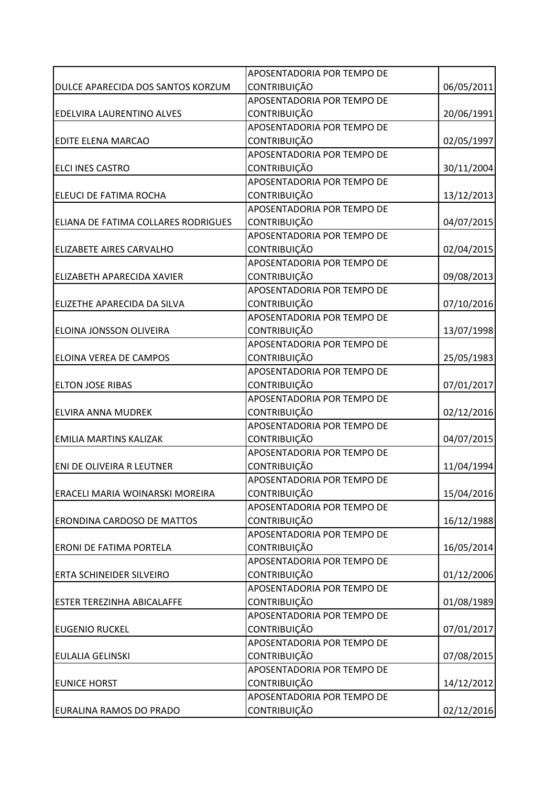|                                     | APOSENTADORIA POR TEMPO DE |            |
|-------------------------------------|----------------------------|------------|
| DULCE APARECIDA DOS SANTOS KORZUM   | <b>CONTRIBUIÇÃO</b>        | 06/05/2011 |
|                                     | APOSENTADORIA POR TEMPO DE |            |
| EDELVIRA LAURENTINO ALVES           | <b>CONTRIBUIÇÃO</b>        | 20/06/1991 |
|                                     | APOSENTADORIA POR TEMPO DE |            |
| EDITE ELENA MARCAO                  | <b>CONTRIBUIÇÃO</b>        | 02/05/1997 |
|                                     | APOSENTADORIA POR TEMPO DE |            |
| <b>ELCI INES CASTRO</b>             | <b>CONTRIBUIÇÃO</b>        | 30/11/2004 |
|                                     | APOSENTADORIA POR TEMPO DE |            |
| ELEUCI DE FATIMA ROCHA              | <b>CONTRIBUIÇÃO</b>        | 13/12/2013 |
|                                     | APOSENTADORIA POR TEMPO DE |            |
| ELIANA DE FATIMA COLLARES RODRIGUES | CONTRIBUIÇÃO               | 04/07/2015 |
|                                     | APOSENTADORIA POR TEMPO DE |            |
| <b>ELIZABETE AIRES CARVALHO</b>     | <b>CONTRIBUIÇÃO</b>        | 02/04/2015 |
|                                     | APOSENTADORIA POR TEMPO DE |            |
| ELIZABETH APARECIDA XAVIER          | <b>CONTRIBUIÇÃO</b>        | 09/08/2013 |
|                                     | APOSENTADORIA POR TEMPO DE |            |
| ELIZETHE APARECIDA DA SILVA         | CONTRIBUIÇÃO               | 07/10/2016 |
|                                     | APOSENTADORIA POR TEMPO DE |            |
| ELOINA JONSSON OLIVEIRA             | <b>CONTRIBUIÇÃO</b>        | 13/07/1998 |
|                                     | APOSENTADORIA POR TEMPO DE |            |
| ELOINA VEREA DE CAMPOS              | <b>CONTRIBUIÇÃO</b>        | 25/05/1983 |
|                                     | APOSENTADORIA POR TEMPO DE |            |
| <b>ELTON JOSE RIBAS</b>             | <b>CONTRIBUIÇÃO</b>        | 07/01/2017 |
|                                     | APOSENTADORIA POR TEMPO DE |            |
| ELVIRA ANNA MUDREK                  | CONTRIBUIÇÃO               | 02/12/2016 |
|                                     | APOSENTADORIA POR TEMPO DE |            |
| <b>EMILIA MARTINS KALIZAK</b>       | <b>CONTRIBUIÇÃO</b>        | 04/07/2015 |
|                                     | APOSENTADORIA POR TEMPO DE |            |
| ENI DE OLIVEIRA R LEUTNER           | <b>CONTRIBUIÇÃO</b>        | 11/04/1994 |
|                                     | APOSENTADORIA POR TEMPO DE |            |
| ERACELI MARIA WOINARSKI MOREIRA     | <b>CONTRIBUIÇÃO</b>        | 15/04/2016 |
|                                     | APOSENTADORIA POR TEMPO DE |            |
| <b>ERONDINA CARDOSO DE MATTOS</b>   | CONTRIBUIÇÃO               | 16/12/1988 |
|                                     | APOSENTADORIA POR TEMPO DE |            |
| <b>ERONI DE FATIMA PORTELA</b>      | <b>CONTRIBUIÇÃO</b>        | 16/05/2014 |
|                                     | APOSENTADORIA POR TEMPO DE |            |
| <b>ERTA SCHINEIDER SILVEIRO</b>     | CONTRIBUIÇÃO               | 01/12/2006 |
|                                     | APOSENTADORIA POR TEMPO DE |            |
| <b>ESTER TEREZINHA ABICALAFFE</b>   | <b>CONTRIBUIÇÃO</b>        | 01/08/1989 |
|                                     | APOSENTADORIA POR TEMPO DE |            |
| <b>EUGENIO RUCKEL</b>               | <b>CONTRIBUIÇÃO</b>        | 07/01/2017 |
|                                     | APOSENTADORIA POR TEMPO DE |            |
| <b>EULALIA GELINSKI</b>             | <b>CONTRIBUIÇÃO</b>        | 07/08/2015 |
|                                     | APOSENTADORIA POR TEMPO DE |            |
| <b>EUNICE HORST</b>                 | <b>CONTRIBUIÇÃO</b>        | 14/12/2012 |
|                                     | APOSENTADORIA POR TEMPO DE |            |
| EURALINA RAMOS DO PRADO             | CONTRIBUIÇÃO               | 02/12/2016 |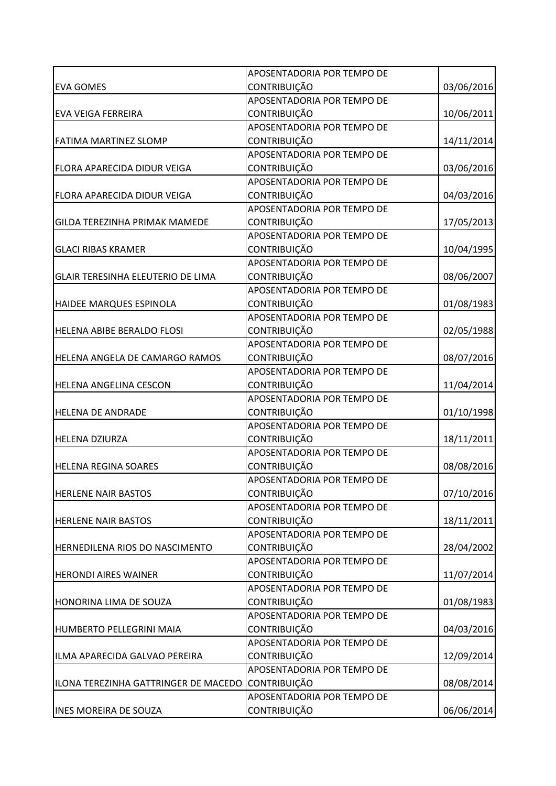|                                       | APOSENTADORIA POR TEMPO DE |            |
|---------------------------------------|----------------------------|------------|
| <b>EVA GOMES</b>                      | <b>CONTRIBUIÇÃO</b>        | 03/06/2016 |
|                                       | APOSENTADORIA POR TEMPO DE |            |
| <b>EVA VEIGA FERREIRA</b>             | <b>CONTRIBUIÇÃO</b>        | 10/06/2011 |
|                                       | APOSENTADORIA POR TEMPO DE |            |
| <b>FATIMA MARTINEZ SLOMP</b>          | <b>CONTRIBUIÇÃO</b>        | 14/11/2014 |
|                                       | APOSENTADORIA POR TEMPO DE |            |
| FLORA APARECIDA DIDUR VEIGA           | <b>CONTRIBUIÇÃO</b>        | 03/06/2016 |
|                                       | APOSENTADORIA POR TEMPO DE |            |
| FLORA APARECIDA DIDUR VEIGA           | <b>CONTRIBUIÇÃO</b>        | 04/03/2016 |
|                                       | APOSENTADORIA POR TEMPO DE |            |
| <b>GILDA TEREZINHA PRIMAK MAMEDE</b>  | CONTRIBUIÇÃO               | 17/05/2013 |
|                                       | APOSENTADORIA POR TEMPO DE |            |
| <b>GLACI RIBAS KRAMER</b>             | <b>CONTRIBUIÇÃO</b>        | 10/04/1995 |
|                                       | APOSENTADORIA POR TEMPO DE |            |
| GLAIR TERESINHA ELEUTERIO DE LIMA     | CONTRIBUIÇÃO               | 08/06/2007 |
|                                       | APOSENTADORIA POR TEMPO DE |            |
| HAIDEE MARQUES ESPINOLA               | <b>CONTRIBUIÇÃO</b>        | 01/08/1983 |
|                                       | APOSENTADORIA POR TEMPO DE |            |
| <b>HELENA ABIBE BERALDO FLOSI</b>     | <b>CONTRIBUIÇÃO</b>        | 02/05/1988 |
|                                       | APOSENTADORIA POR TEMPO DE |            |
| HELENA ANGELA DE CAMARGO RAMOS        | <b>CONTRIBUIÇÃO</b>        | 08/07/2016 |
|                                       | APOSENTADORIA POR TEMPO DE |            |
| <b>HELENA ANGELINA CESCON</b>         | <b>CONTRIBUIÇÃO</b>        | 11/04/2014 |
|                                       | APOSENTADORIA POR TEMPO DE |            |
| <b>HELENA DE ANDRADE</b>              | CONTRIBUIÇÃO               | 01/10/1998 |
|                                       | APOSENTADORIA POR TEMPO DE |            |
| <b>HELENA DZIURZA</b>                 | <b>CONTRIBUIÇÃO</b>        | 18/11/2011 |
|                                       | APOSENTADORIA POR TEMPO DE |            |
| <b>HELENA REGINA SOARES</b>           | CONTRIBUIÇÃO               | 08/08/2016 |
|                                       | APOSENTADORIA POR TEMPO DE |            |
| <b>HERLENE NAIR BASTOS</b>            | CONTRIBUIÇÃO               | 07/10/2016 |
|                                       | APOSENTADORIA POR TEMPO DE |            |
| <b>HERLENE NAIR BASTOS</b>            | CONTRIBUIÇÃO               | 18/11/2011 |
|                                       | APOSENTADORIA POR TEMPO DE |            |
| <b>HERNEDILENA RIOS DO NASCIMENTO</b> | <b>CONTRIBUIÇÃO</b>        | 28/04/2002 |
|                                       | APOSENTADORIA POR TEMPO DE |            |
| <b>HERONDI AIRES WAINER</b>           | CONTRIBUIÇÃO               | 11/07/2014 |
|                                       | APOSENTADORIA POR TEMPO DE |            |
| HONORINA LIMA DE SOUZA                | <b>CONTRIBUIÇÃO</b>        | 01/08/1983 |
|                                       | APOSENTADORIA POR TEMPO DE |            |
| <b>HUMBERTO PELLEGRINI MAIA</b>       | <b>CONTRIBUIÇÃO</b>        | 04/03/2016 |
|                                       | APOSENTADORIA POR TEMPO DE |            |
| ILMA APARECIDA GALVAO PEREIRA         | <b>CONTRIBUIÇÃO</b>        | 12/09/2014 |
|                                       | APOSENTADORIA POR TEMPO DE |            |
| ILONA TEREZINHA GATTRINGER DE MACEDO  | <b>CONTRIBUIÇÃO</b>        | 08/08/2014 |
|                                       | APOSENTADORIA POR TEMPO DE |            |
| <b>INES MOREIRA DE SOUZA</b>          | CONTRIBUIÇÃO               | 06/06/2014 |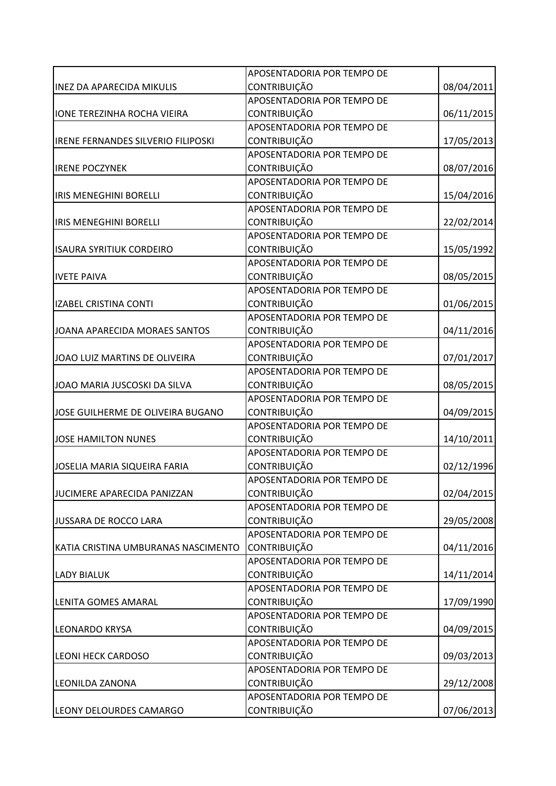|                                           | APOSENTADORIA POR TEMPO DE |            |
|-------------------------------------------|----------------------------|------------|
| <b>INEZ DA APARECIDA MIKULIS</b>          | <b>CONTRIBUIÇÃO</b>        | 08/04/2011 |
|                                           | APOSENTADORIA POR TEMPO DE |            |
| <b>IONE TEREZINHA ROCHA VIEIRA</b>        | CONTRIBUIÇÃO               | 06/11/2015 |
|                                           | APOSENTADORIA POR TEMPO DE |            |
| <b>IRENE FERNANDES SILVERIO FILIPOSKI</b> | <b>CONTRIBUIÇÃO</b>        | 17/05/2013 |
|                                           | APOSENTADORIA POR TEMPO DE |            |
| <b>IRENE POCZYNEK</b>                     | <b>CONTRIBUIÇÃO</b>        | 08/07/2016 |
|                                           | APOSENTADORIA POR TEMPO DE |            |
| <b>IRIS MENEGHINI BORELLI</b>             | <b>CONTRIBUIÇÃO</b>        | 15/04/2016 |
|                                           | APOSENTADORIA POR TEMPO DE |            |
| <b>IRIS MENEGHINI BORELLI</b>             | CONTRIBUIÇÃO               | 22/02/2014 |
|                                           | APOSENTADORIA POR TEMPO DE |            |
| <b>ISAURA SYRITIUK CORDEIRO</b>           | <b>CONTRIBUIÇÃO</b>        | 15/05/1992 |
|                                           | APOSENTADORIA POR TEMPO DE |            |
| <b>IVETE PAIVA</b>                        | CONTRIBUIÇÃO               | 08/05/2015 |
|                                           | APOSENTADORIA POR TEMPO DE |            |
| <b>IZABEL CRISTINA CONTI</b>              | <b>CONTRIBUIÇÃO</b>        | 01/06/2015 |
|                                           | APOSENTADORIA POR TEMPO DE |            |
| JOANA APARECIDA MORAES SANTOS             | <b>CONTRIBUIÇÃO</b>        | 04/11/2016 |
|                                           | APOSENTADORIA POR TEMPO DE |            |
| JOAO LUIZ MARTINS DE OLIVEIRA             | <b>CONTRIBUIÇÃO</b>        | 07/01/2017 |
|                                           | APOSENTADORIA POR TEMPO DE |            |
| JOAO MARIA JUSCOSKI DA SILVA              | <b>CONTRIBUIÇÃO</b>        | 08/05/2015 |
|                                           | APOSENTADORIA POR TEMPO DE |            |
| JOSE GUILHERME DE OLIVEIRA BUGANO         | CONTRIBUIÇÃO               | 04/09/2015 |
|                                           | APOSENTADORIA POR TEMPO DE |            |
| <b>JOSE HAMILTON NUNES</b>                | <b>CONTRIBUIÇÃO</b>        | 14/10/2011 |
|                                           | APOSENTADORIA POR TEMPO DE |            |
| JOSELIA MARIA SIQUEIRA FARIA              | <b>CONTRIBUIÇÃO</b>        | 02/12/1996 |
|                                           | APOSENTADORIA POR TEMPO DE |            |
| JUCIMERE APARECIDA PANIZZAN               | <b>CONTRIBUIÇÃO</b>        | 02/04/2015 |
|                                           | APOSENTADORIA POR TEMPO DE |            |
| JUSSARA DE ROCCO LARA                     | CONTRIBUIÇÃO               | 29/05/2008 |
|                                           | APOSENTADORIA POR TEMPO DE |            |
| KATIA CRISTINA UMBURANAS NASCIMENTO       | CONTRIBUIÇÃO               | 04/11/2016 |
|                                           | APOSENTADORIA POR TEMPO DE |            |
| <b>LADY BIALUK</b>                        | CONTRIBUIÇÃO               | 14/11/2014 |
|                                           | APOSENTADORIA POR TEMPO DE |            |
| <b>LENITA GOMES AMARAL</b>                | <b>CONTRIBUIÇÃO</b>        | 17/09/1990 |
|                                           | APOSENTADORIA POR TEMPO DE |            |
| <b>LEONARDO KRYSA</b>                     | <b>CONTRIBUIÇÃO</b>        | 04/09/2015 |
|                                           | APOSENTADORIA POR TEMPO DE |            |
| <b>LEONI HECK CARDOSO</b>                 | <b>CONTRIBUIÇÃO</b>        | 09/03/2013 |
|                                           | APOSENTADORIA POR TEMPO DE |            |
| <b>LEONILDA ZANONA</b>                    | <b>CONTRIBUIÇÃO</b>        | 29/12/2008 |
|                                           | APOSENTADORIA POR TEMPO DE |            |
| <b>LEONY DELOURDES CAMARGO</b>            | CONTRIBUIÇÃO               | 07/06/2013 |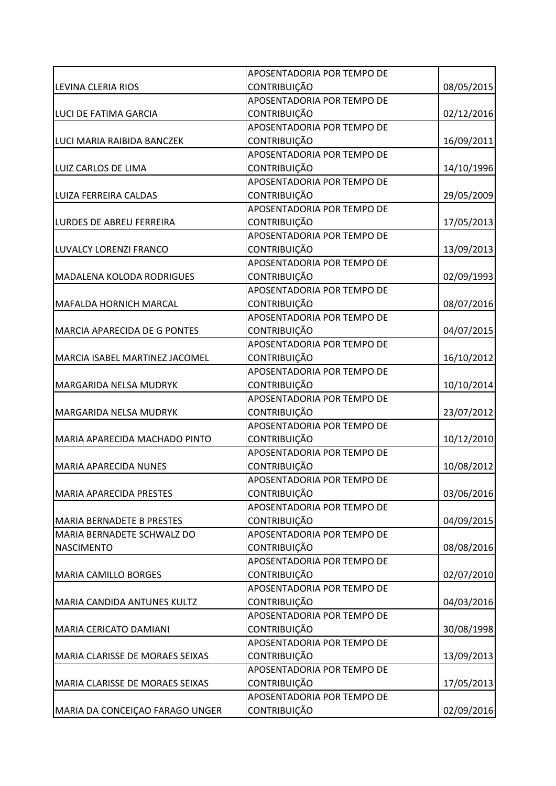|                                    | APOSENTADORIA POR TEMPO DE |            |
|------------------------------------|----------------------------|------------|
| LEVINA CLERIA RIOS                 | <b>CONTRIBUIÇÃO</b>        | 08/05/2015 |
|                                    | APOSENTADORIA POR TEMPO DE |            |
| LUCI DE FATIMA GARCIA              | <b>CONTRIBUIÇÃO</b>        | 02/12/2016 |
|                                    | APOSENTADORIA POR TEMPO DE |            |
| LUCI MARIA RAIBIDA BANCZEK         | <b>CONTRIBUIÇÃO</b>        | 16/09/2011 |
|                                    | APOSENTADORIA POR TEMPO DE |            |
| LUIZ CARLOS DE LIMA                | <b>CONTRIBUIÇÃO</b>        | 14/10/1996 |
|                                    | APOSENTADORIA POR TEMPO DE |            |
| LUIZA FERREIRA CALDAS              | <b>CONTRIBUIÇÃO</b>        | 29/05/2009 |
|                                    | APOSENTADORIA POR TEMPO DE |            |
| <b>LURDES DE ABREU FERREIRA</b>    | CONTRIBUIÇÃO               | 17/05/2013 |
|                                    | APOSENTADORIA POR TEMPO DE |            |
| LUVALCY LORENZI FRANCO             | <b>CONTRIBUIÇÃO</b>        | 13/09/2013 |
|                                    | APOSENTADORIA POR TEMPO DE |            |
| <b>MADALENA KOLODA RODRIGUES</b>   | CONTRIBUIÇÃO               | 02/09/1993 |
|                                    | APOSENTADORIA POR TEMPO DE |            |
| <b>MAFALDA HORNICH MARCAL</b>      | CONTRIBUIÇÃO               | 08/07/2016 |
|                                    | APOSENTADORIA POR TEMPO DE |            |
| MARCIA APARECIDA DE G PONTES       | <b>CONTRIBUIÇÃO</b>        | 04/07/2015 |
|                                    | APOSENTADORIA POR TEMPO DE |            |
| MARCIA ISABEL MARTINEZ JACOMEL     | <b>CONTRIBUIÇÃO</b>        | 16/10/2012 |
|                                    | APOSENTADORIA POR TEMPO DE |            |
| MARGARIDA NELSA MUDRYK             | <b>CONTRIBUIÇÃO</b>        | 10/10/2014 |
|                                    | APOSENTADORIA POR TEMPO DE |            |
| MARGARIDA NELSA MUDRYK             | CONTRIBUIÇÃO               | 23/07/2012 |
|                                    | APOSENTADORIA POR TEMPO DE |            |
| MARIA APARECIDA MACHADO PINTO      | <b>CONTRIBUIÇÃO</b>        | 10/12/2010 |
|                                    | APOSENTADORIA POR TEMPO DE |            |
| <b>MARIA APARECIDA NUNES</b>       | <b>CONTRIBUIÇÃO</b>        | 10/08/2012 |
|                                    | APOSENTADORIA POR TEMPO DE |            |
| <b>MARIA APARECIDA PRESTES</b>     | <b>CONTRIBUIÇÃO</b>        | 03/06/2016 |
|                                    | APOSENTADORIA POR TEMPO DE |            |
| <b>MARIA BERNADETE B PRESTES</b>   | CONTRIBUIÇÃO               | 04/09/2015 |
| MARIA BERNADETE SCHWALZ DO         | APOSENTADORIA POR TEMPO DE |            |
| <b>NASCIMENTO</b>                  | <b>CONTRIBUIÇÃO</b>        | 08/08/2016 |
|                                    | APOSENTADORIA POR TEMPO DE |            |
| <b>MARIA CAMILLO BORGES</b>        | CONTRIBUIÇÃO               | 02/07/2010 |
|                                    | APOSENTADORIA POR TEMPO DE |            |
| <b>MARIA CANDIDA ANTUNES KULTZ</b> | <b>CONTRIBUIÇÃO</b>        | 04/03/2016 |
|                                    | APOSENTADORIA POR TEMPO DE |            |
| MARIA CERICATO DAMIANI             | <b>CONTRIBUIÇÃO</b>        | 30/08/1998 |
|                                    | APOSENTADORIA POR TEMPO DE |            |
| MARIA CLARISSE DE MORAES SEIXAS    | <b>CONTRIBUIÇÃO</b>        | 13/09/2013 |
|                                    | APOSENTADORIA POR TEMPO DE |            |
| MARIA CLARISSE DE MORAES SEIXAS    | <b>CONTRIBUIÇÃO</b>        | 17/05/2013 |
|                                    | APOSENTADORIA POR TEMPO DE |            |
| MARIA DA CONCEIÇAO FARAGO UNGER    | CONTRIBUIÇÃO               | 02/09/2016 |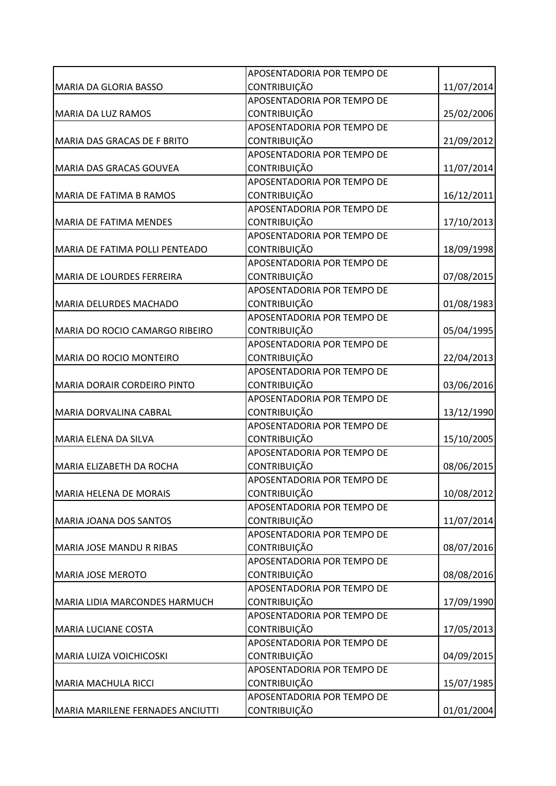|                                    | APOSENTADORIA POR TEMPO DE |            |
|------------------------------------|----------------------------|------------|
| <b>MARIA DA GLORIA BASSO</b>       | <b>CONTRIBUIÇÃO</b>        | 11/07/2014 |
|                                    | APOSENTADORIA POR TEMPO DE |            |
| <b>MARIA DA LUZ RAMOS</b>          | <b>CONTRIBUIÇÃO</b>        | 25/02/2006 |
|                                    | APOSENTADORIA POR TEMPO DE |            |
| MARIA DAS GRACAS DE F BRITO        | <b>CONTRIBUIÇÃO</b>        | 21/09/2012 |
|                                    | APOSENTADORIA POR TEMPO DE |            |
| MARIA DAS GRACAS GOUVEA            | <b>CONTRIBUIÇÃO</b>        | 11/07/2014 |
|                                    | APOSENTADORIA POR TEMPO DE |            |
| MARIA DE FATIMA B RAMOS            | <b>CONTRIBUIÇÃO</b>        | 16/12/2011 |
|                                    | APOSENTADORIA POR TEMPO DE |            |
| <b>MARIA DE FATIMA MENDES</b>      | CONTRIBUIÇÃO               | 17/10/2013 |
|                                    | APOSENTADORIA POR TEMPO DE |            |
| MARIA DE FATIMA POLLI PENTEADO     | CONTRIBUIÇÃO               | 18/09/1998 |
|                                    | APOSENTADORIA POR TEMPO DE |            |
| MARIA DE LOURDES FERREIRA          | CONTRIBUIÇÃO               | 07/08/2015 |
|                                    | APOSENTADORIA POR TEMPO DE |            |
| <b>MARIA DELURDES MACHADO</b>      | <b>CONTRIBUIÇÃO</b>        | 01/08/1983 |
|                                    | APOSENTADORIA POR TEMPO DE |            |
| MARIA DO ROCIO CAMARGO RIBEIRO     | <b>CONTRIBUIÇÃO</b>        | 05/04/1995 |
|                                    | APOSENTADORIA POR TEMPO DE |            |
| <b>MARIA DO ROCIO MONTEIRO</b>     | <b>CONTRIBUIÇÃO</b>        | 22/04/2013 |
|                                    | APOSENTADORIA POR TEMPO DE |            |
| <b>MARIA DORAIR CORDEIRO PINTO</b> | <b>CONTRIBUIÇÃO</b>        | 03/06/2016 |
|                                    | APOSENTADORIA POR TEMPO DE |            |
| MARIA DORVALINA CABRAL             | CONTRIBUIÇÃO               | 13/12/1990 |
|                                    | APOSENTADORIA POR TEMPO DE |            |
| MARIA ELENA DA SILVA               | <b>CONTRIBUIÇÃO</b>        | 15/10/2005 |
|                                    | APOSENTADORIA POR TEMPO DE |            |
| MARIA ELIZABETH DA ROCHA           | CONTRIBUIÇÃO               | 08/06/2015 |
|                                    | APOSENTADORIA POR TEMPO DE |            |
| MARIA HELENA DE MORAIS             | <b>CONTRIBUIÇÃO</b>        | 10/08/2012 |
|                                    | APOSENTADORIA POR TEMPO DE |            |
| <b>MARIA JOANA DOS SANTOS</b>      | <b>CONTRIBUIÇÃO</b>        | 11/07/2014 |
|                                    | APOSENTADORIA POR TEMPO DE |            |
| MARIA JOSE MANDU R RIBAS           | <b>CONTRIBUIÇÃO</b>        | 08/07/2016 |
|                                    | APOSENTADORIA POR TEMPO DE |            |
| <b>MARIA JOSE MEROTO</b>           | CONTRIBUIÇÃO               | 08/08/2016 |
|                                    | APOSENTADORIA POR TEMPO DE |            |
| MARIA LIDIA MARCONDES HARMUCH      | <b>CONTRIBUIÇÃO</b>        | 17/09/1990 |
|                                    | APOSENTADORIA POR TEMPO DE |            |
| <b>MARIA LUCIANE COSTA</b>         | <b>CONTRIBUIÇÃO</b>        | 17/05/2013 |
|                                    | APOSENTADORIA POR TEMPO DE |            |
| <b>MARIA LUIZA VOICHICOSKI</b>     | <b>CONTRIBUIÇÃO</b>        | 04/09/2015 |
|                                    | APOSENTADORIA POR TEMPO DE |            |
| MARIA MACHULA RICCI                | <b>CONTRIBUIÇÃO</b>        | 15/07/1985 |
|                                    | APOSENTADORIA POR TEMPO DE |            |
| MARIA MARILENE FERNADES ANCIUTTI   | <b>CONTRIBUIÇÃO</b>        | 01/01/2004 |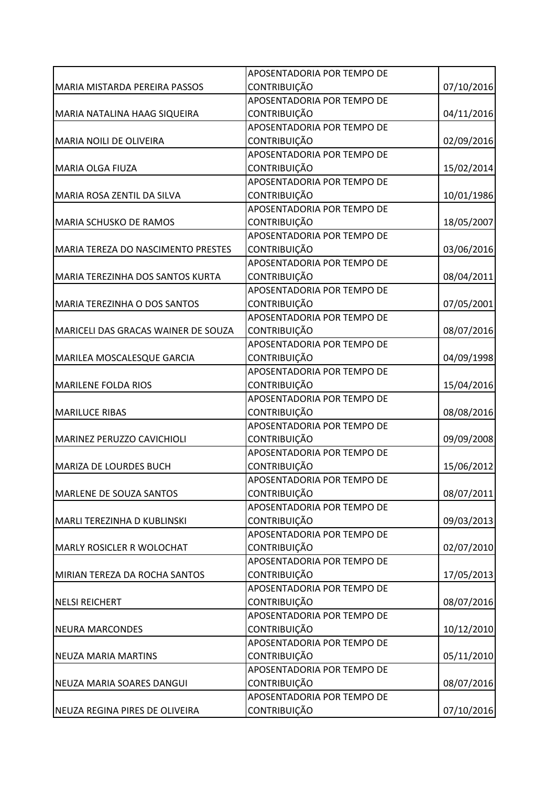|                                           | APOSENTADORIA POR TEMPO DE |            |
|-------------------------------------------|----------------------------|------------|
| MARIA MISTARDA PEREIRA PASSOS             | <b>CONTRIBUIÇÃO</b>        | 07/10/2016 |
|                                           | APOSENTADORIA POR TEMPO DE |            |
| MARIA NATALINA HAAG SIQUEIRA              | <b>CONTRIBUIÇÃO</b>        | 04/11/2016 |
|                                           | APOSENTADORIA POR TEMPO DE |            |
| MARIA NOILI DE OLIVEIRA                   | <b>CONTRIBUIÇÃO</b>        | 02/09/2016 |
|                                           | APOSENTADORIA POR TEMPO DE |            |
| <b>MARIA OLGA FIUZA</b>                   | <b>CONTRIBUIÇÃO</b>        | 15/02/2014 |
|                                           | APOSENTADORIA POR TEMPO DE |            |
| MARIA ROSA ZENTIL DA SILVA                | <b>CONTRIBUIÇÃO</b>        | 10/01/1986 |
|                                           | APOSENTADORIA POR TEMPO DE |            |
| MARIA SCHUSKO DE RAMOS                    | CONTRIBUIÇÃO               | 18/05/2007 |
|                                           | APOSENTADORIA POR TEMPO DE |            |
| <b>MARIA TEREZA DO NASCIMENTO PRESTES</b> | <b>CONTRIBUIÇÃO</b>        | 03/06/2016 |
|                                           | APOSENTADORIA POR TEMPO DE |            |
| MARIA TEREZINHA DOS SANTOS KURTA          | CONTRIBUIÇÃO               | 08/04/2011 |
|                                           | APOSENTADORIA POR TEMPO DE |            |
| MARIA TEREZINHA O DOS SANTOS              | <b>CONTRIBUIÇÃO</b>        | 07/05/2001 |
|                                           | APOSENTADORIA POR TEMPO DE |            |
| MARICELI DAS GRACAS WAINER DE SOUZA       | <b>CONTRIBUIÇÃO</b>        | 08/07/2016 |
|                                           | APOSENTADORIA POR TEMPO DE |            |
| MARILEA MOSCALESQUE GARCIA                | <b>CONTRIBUIÇÃO</b>        | 04/09/1998 |
|                                           | APOSENTADORIA POR TEMPO DE |            |
| <b>MARILENE FOLDA RIOS</b>                | <b>CONTRIBUIÇÃO</b>        | 15/04/2016 |
|                                           | APOSENTADORIA POR TEMPO DE |            |
| <b>MARILUCE RIBAS</b>                     | CONTRIBUIÇÃO               | 08/08/2016 |
|                                           | APOSENTADORIA POR TEMPO DE |            |
| MARINEZ PERUZZO CAVICHIOLI                | <b>CONTRIBUIÇÃO</b>        | 09/09/2008 |
|                                           | APOSENTADORIA POR TEMPO DE |            |
| MARIZA DE LOURDES BUCH                    | <b>CONTRIBUIÇÃO</b>        | 15/06/2012 |
|                                           | APOSENTADORIA POR TEMPO DE |            |
| MARLENE DE SOUZA SANTOS                   | <b>CONTRIBUIÇÃO</b>        | 08/07/2011 |
|                                           | APOSENTADORIA POR TEMPO DE |            |
| MARLI TEREZINHA D KUBLINSKI               | CONTRIBUIÇÃO               | 09/03/2013 |
|                                           | APOSENTADORIA POR TEMPO DE |            |
| <b>MARLY ROSICLER R WOLOCHAT</b>          | <b>CONTRIBUIÇÃO</b>        | 02/07/2010 |
|                                           | APOSENTADORIA POR TEMPO DE |            |
| MIRIAN TEREZA DA ROCHA SANTOS             | CONTRIBUIÇÃO               | 17/05/2013 |
|                                           | APOSENTADORIA POR TEMPO DE |            |
| <b>NELSI REICHERT</b>                     | <b>CONTRIBUIÇÃO</b>        | 08/07/2016 |
|                                           | APOSENTADORIA POR TEMPO DE |            |
| <b>NEURA MARCONDES</b>                    | <b>CONTRIBUIÇÃO</b>        | 10/12/2010 |
|                                           | APOSENTADORIA POR TEMPO DE |            |
| <b>NEUZA MARIA MARTINS</b>                | <b>CONTRIBUIÇÃO</b>        | 05/11/2010 |
|                                           | APOSENTADORIA POR TEMPO DE |            |
| NEUZA MARIA SOARES DANGUI                 | CONTRIBUIÇÃO               | 08/07/2016 |
|                                           | APOSENTADORIA POR TEMPO DE |            |
| NEUZA REGINA PIRES DE OLIVEIRA            | <b>CONTRIBUIÇÃO</b>        | 07/10/2016 |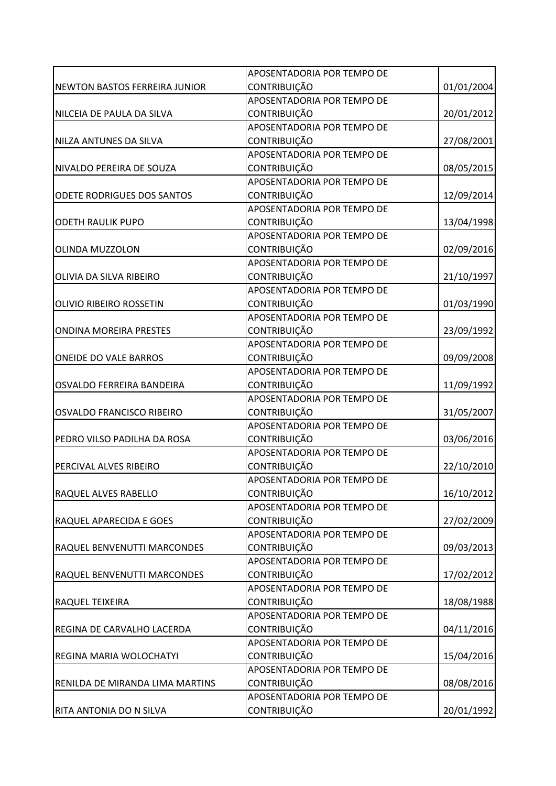|                                      | APOSENTADORIA POR TEMPO DE        |            |
|--------------------------------------|-----------------------------------|------------|
| <b>NEWTON BASTOS FERREIRA JUNIOR</b> | <b>CONTRIBUIÇÃO</b>               | 01/01/2004 |
|                                      | APOSENTADORIA POR TEMPO DE        |            |
| NILCEIA DE PAULA DA SILVA            | <b>CONTRIBUIÇÃO</b>               | 20/01/2012 |
|                                      | APOSENTADORIA POR TEMPO DE        |            |
| NILZA ANTUNES DA SILVA               | <b>CONTRIBUIÇÃO</b>               | 27/08/2001 |
|                                      | APOSENTADORIA POR TEMPO DE        |            |
| NIVALDO PEREIRA DE SOUZA             | <b>CONTRIBUIÇÃO</b>               | 08/05/2015 |
|                                      | APOSENTADORIA POR TEMPO DE        |            |
| ODETE RODRIGUES DOS SANTOS           | <b>CONTRIBUIÇÃO</b>               | 12/09/2014 |
|                                      | APOSENTADORIA POR TEMPO DE        |            |
| <b>ODETH RAULIK PUPO</b>             | CONTRIBUIÇÃO                      | 13/04/1998 |
|                                      | APOSENTADORIA POR TEMPO DE        |            |
| <b>OLINDA MUZZOLON</b>               | <b>CONTRIBUIÇÃO</b>               | 02/09/2016 |
|                                      | <b>APOSENTADORIA POR TEMPO DE</b> |            |
| OLIVIA DA SILVA RIBEIRO              | CONTRIBUIÇÃO                      | 21/10/1997 |
|                                      | APOSENTADORIA POR TEMPO DE        |            |
| OLIVIO RIBEIRO ROSSETIN              | CONTRIBUIÇÃO                      | 01/03/1990 |
|                                      | APOSENTADORIA POR TEMPO DE        |            |
| <b>ONDINA MOREIRA PRESTES</b>        | <b>CONTRIBUIÇÃO</b>               | 23/09/1992 |
|                                      | APOSENTADORIA POR TEMPO DE        |            |
| ONEIDE DO VALE BARROS                | <b>CONTRIBUIÇÃO</b>               | 09/09/2008 |
|                                      | APOSENTADORIA POR TEMPO DE        |            |
| OSVALDO FERREIRA BANDEIRA            | <b>CONTRIBUIÇÃO</b>               | 11/09/1992 |
|                                      | APOSENTADORIA POR TEMPO DE        |            |
| OSVALDO FRANCISCO RIBEIRO            | CONTRIBUIÇÃO                      | 31/05/2007 |
|                                      | APOSENTADORIA POR TEMPO DE        |            |
| PEDRO VILSO PADILHA DA ROSA          | <b>CONTRIBUIÇÃO</b>               | 03/06/2016 |
|                                      | APOSENTADORIA POR TEMPO DE        |            |
| PERCIVAL ALVES RIBEIRO               | CONTRIBUIÇÃO                      | 22/10/2010 |
|                                      | APOSENTADORIA POR TEMPO DE        |            |
| RAQUEL ALVES RABELLO                 | <b>CONTRIBUIÇÃO</b>               | 16/10/2012 |
|                                      | APOSENTADORIA POR TEMPO DE        |            |
| RAQUEL APARECIDA E GOES              | CONTRIBUIÇÃO                      | 27/02/2009 |
|                                      | APOSENTADORIA POR TEMPO DE        |            |
| RAQUEL BENVENUTTI MARCONDES          | <b>CONTRIBUIÇÃO</b>               | 09/03/2013 |
|                                      | APOSENTADORIA POR TEMPO DE        |            |
| RAQUEL BENVENUTTI MARCONDES          | CONTRIBUIÇÃO                      | 17/02/2012 |
|                                      | APOSENTADORIA POR TEMPO DE        |            |
| RAQUEL TEIXEIRA                      | <b>CONTRIBUIÇÃO</b>               | 18/08/1988 |
|                                      | APOSENTADORIA POR TEMPO DE        |            |
| REGINA DE CARVALHO LACERDA           | <b>CONTRIBUIÇÃO</b>               | 04/11/2016 |
|                                      | APOSENTADORIA POR TEMPO DE        |            |
| REGINA MARIA WOLOCHATYI              | <b>CONTRIBUIÇÃO</b>               | 15/04/2016 |
|                                      | APOSENTADORIA POR TEMPO DE        |            |
| RENILDA DE MIRANDA LIMA MARTINS      | <b>CONTRIBUIÇÃO</b>               | 08/08/2016 |
|                                      | APOSENTADORIA POR TEMPO DE        |            |
| RITA ANTONIA DO N SILVA              | CONTRIBUIÇÃO                      | 20/01/1992 |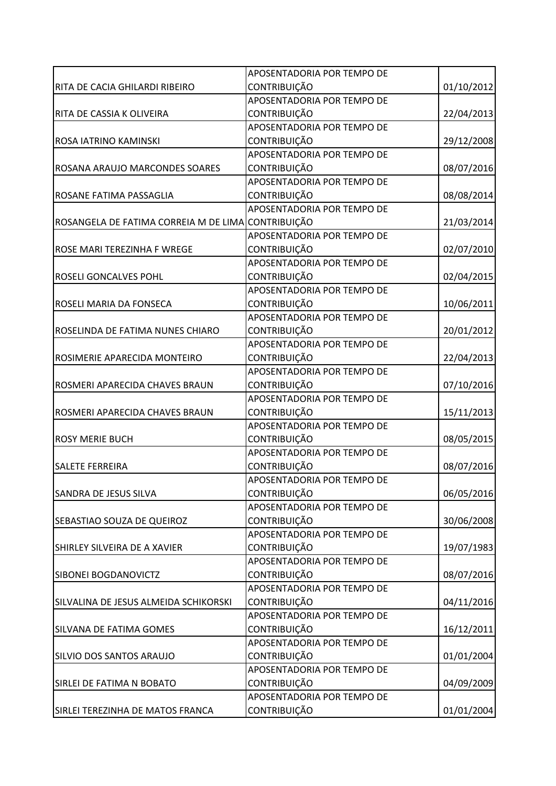|                                                    | APOSENTADORIA POR TEMPO DE |            |
|----------------------------------------------------|----------------------------|------------|
| RITA DE CACIA GHILARDI RIBEIRO                     | <b>CONTRIBUIÇÃO</b>        | 01/10/2012 |
|                                                    | APOSENTADORIA POR TEMPO DE |            |
| RITA DE CASSIA K OLIVEIRA                          | <b>CONTRIBUIÇÃO</b>        | 22/04/2013 |
|                                                    | APOSENTADORIA POR TEMPO DE |            |
| ROSA IATRINO KAMINSKI                              | <b>CONTRIBUIÇÃO</b>        | 29/12/2008 |
|                                                    | APOSENTADORIA POR TEMPO DE |            |
| ROSANA ARAUJO MARCONDES SOARES                     | <b>CONTRIBUIÇÃO</b>        | 08/07/2016 |
|                                                    | APOSENTADORIA POR TEMPO DE |            |
| ROSANE FATIMA PASSAGLIA                            | <b>CONTRIBUIÇÃO</b>        | 08/08/2014 |
|                                                    | APOSENTADORIA POR TEMPO DE |            |
| ROSANGELA DE FATIMA CORREIA M DE LIMA CONTRIBUIÇÃO |                            | 21/03/2014 |
|                                                    | APOSENTADORIA POR TEMPO DE |            |
| ROSE MARI TEREZINHA F WREGE                        | <b>CONTRIBUIÇÃO</b>        | 02/07/2010 |
|                                                    | APOSENTADORIA POR TEMPO DE |            |
| <b>ROSELI GONCALVES POHL</b>                       | CONTRIBUIÇÃO               | 02/04/2015 |
|                                                    | APOSENTADORIA POR TEMPO DE |            |
| <b>ROSELI MARIA DA FONSECA</b>                     | CONTRIBUIÇÃO               | 10/06/2011 |
|                                                    | APOSENTADORIA POR TEMPO DE |            |
| ROSELINDA DE FATIMA NUNES CHIARO                   | <b>CONTRIBUIÇÃO</b>        | 20/01/2012 |
|                                                    | APOSENTADORIA POR TEMPO DE |            |
| ROSIMERIE APARECIDA MONTEIRO                       | <b>CONTRIBUIÇÃO</b>        | 22/04/2013 |
|                                                    | APOSENTADORIA POR TEMPO DE |            |
| ROSMERI APARECIDA CHAVES BRAUN                     | <b>CONTRIBUIÇÃO</b>        | 07/10/2016 |
|                                                    | APOSENTADORIA POR TEMPO DE |            |
| ROSMERI APARECIDA CHAVES BRAUN                     | CONTRIBUIÇÃO               | 15/11/2013 |
|                                                    | APOSENTADORIA POR TEMPO DE |            |
| <b>ROSY MERIE BUCH</b>                             | CONTRIBUIÇÃO               | 08/05/2015 |
|                                                    | APOSENTADORIA POR TEMPO DE |            |
| <b>SALETE FERREIRA</b>                             | <b>CONTRIBUIÇÃO</b>        | 08/07/2016 |
|                                                    | APOSENTADORIA POR TEMPO DE |            |
| <b>SANDRA DE JESUS SILVA</b>                       | <b>CONTRIBUIÇÃO</b>        | 06/05/2016 |
|                                                    | APOSENTADORIA POR TEMPO DE |            |
| <b>SEBASTIAO SOUZA DE QUEIROZ</b>                  | CONTRIBUIÇÃO               | 30/06/2008 |
|                                                    | APOSENTADORIA POR TEMPO DE |            |
| SHIRLEY SILVEIRA DE A XAVIER                       | <b>CONTRIBUIÇÃO</b>        | 19/07/1983 |
|                                                    | APOSENTADORIA POR TEMPO DE |            |
| <b>SIBONEI BOGDANOVICTZ</b>                        | CONTRIBUIÇÃO               | 08/07/2016 |
|                                                    | APOSENTADORIA POR TEMPO DE |            |
| SILVALINA DE JESUS ALMEIDA SCHIKORSKI              | CONTRIBUIÇÃO               | 04/11/2016 |
|                                                    | APOSENTADORIA POR TEMPO DE |            |
| SILVANA DE FATIMA GOMES                            | <b>CONTRIBUIÇÃO</b>        | 16/12/2011 |
|                                                    | APOSENTADORIA POR TEMPO DE |            |
| SILVIO DOS SANTOS ARAUJO                           | CONTRIBUIÇÃO               | 01/01/2004 |
|                                                    | APOSENTADORIA POR TEMPO DE |            |
| SIRLEI DE FATIMA N BOBATO                          | <b>CONTRIBUIÇÃO</b>        | 04/09/2009 |
|                                                    | APOSENTADORIA POR TEMPO DE |            |
| SIRLEI TEREZINHA DE MATOS FRANCA                   | CONTRIBUIÇÃO               | 01/01/2004 |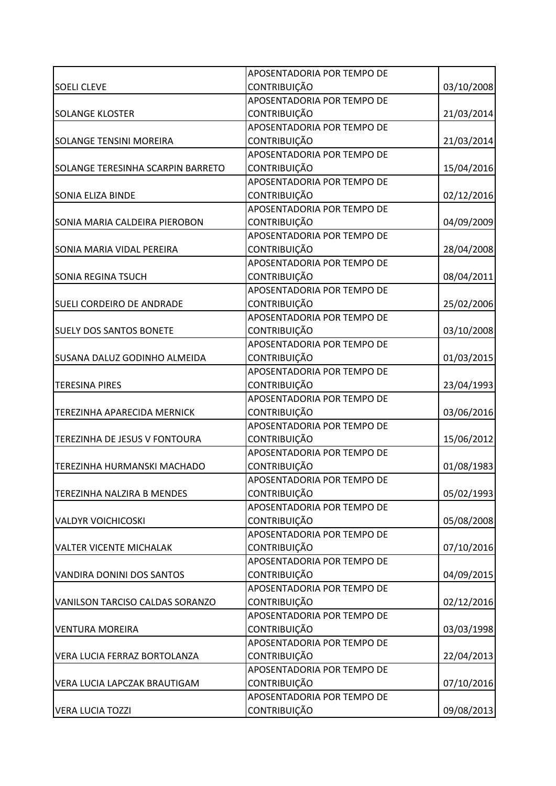|                                          | APOSENTADORIA POR TEMPO DE |            |
|------------------------------------------|----------------------------|------------|
| <b>SOELI CLEVE</b>                       | <b>CONTRIBUIÇÃO</b>        | 03/10/2008 |
|                                          | APOSENTADORIA POR TEMPO DE |            |
| <b>SOLANGE KLOSTER</b>                   | <b>CONTRIBUIÇÃO</b>        | 21/03/2014 |
|                                          | APOSENTADORIA POR TEMPO DE |            |
| <b>SOLANGE TENSINI MOREIRA</b>           | <b>CONTRIBUIÇÃO</b>        | 21/03/2014 |
|                                          | APOSENTADORIA POR TEMPO DE |            |
| <b>SOLANGE TERESINHA SCARPIN BARRETO</b> | <b>CONTRIBUIÇÃO</b>        | 15/04/2016 |
|                                          | APOSENTADORIA POR TEMPO DE |            |
| <b>SONIA ELIZA BINDE</b>                 | <b>CONTRIBUIÇÃO</b>        | 02/12/2016 |
|                                          | APOSENTADORIA POR TEMPO DE |            |
| SONIA MARIA CALDEIRA PIEROBON            | CONTRIBUIÇÃO               | 04/09/2009 |
|                                          | APOSENTADORIA POR TEMPO DE |            |
| SONIA MARIA VIDAL PEREIRA                | CONTRIBUIÇÃO               | 28/04/2008 |
|                                          | APOSENTADORIA POR TEMPO DE |            |
| <b>SONIA REGINA TSUCH</b>                | CONTRIBUIÇÃO               | 08/04/2011 |
|                                          | APOSENTADORIA POR TEMPO DE |            |
| <b>SUELI CORDEIRO DE ANDRADE</b>         | <b>CONTRIBUIÇÃO</b>        | 25/02/2006 |
|                                          | APOSENTADORIA POR TEMPO DE |            |
| <b>SUELY DOS SANTOS BONETE</b>           | <b>CONTRIBUIÇÃO</b>        | 03/10/2008 |
|                                          | APOSENTADORIA POR TEMPO DE |            |
| SUSANA DALUZ GODINHO ALMEIDA             | <b>CONTRIBUIÇÃO</b>        | 01/03/2015 |
|                                          | APOSENTADORIA POR TEMPO DE |            |
| <b>TERESINA PIRES</b>                    | <b>CONTRIBUIÇÃO</b>        | 23/04/1993 |
|                                          | APOSENTADORIA POR TEMPO DE |            |
| TEREZINHA APARECIDA MERNICK              | CONTRIBUIÇÃO               | 03/06/2016 |
|                                          | APOSENTADORIA POR TEMPO DE |            |
| TEREZINHA DE JESUS V FONTOURA            | <b>CONTRIBUIÇÃO</b>        | 15/06/2012 |
|                                          | APOSENTADORIA POR TEMPO DE |            |
| TEREZINHA HURMANSKI MACHADO              | CONTRIBUIÇÃO               | 01/08/1983 |
|                                          | APOSENTADORIA POR TEMPO DE |            |
| <b>TEREZINHA NALZIRA B MENDES</b>        | <b>CONTRIBUIÇÃO</b>        | 05/02/1993 |
|                                          | APOSENTADORIA POR TEMPO DE |            |
| <b>VALDYR VOICHICOSKI</b>                | <b>CONTRIBUIÇÃO</b>        | 05/08/2008 |
|                                          | APOSENTADORIA POR TEMPO DE |            |
| <b>VALTER VICENTE MICHALAK</b>           | <b>CONTRIBUIÇÃO</b>        | 07/10/2016 |
|                                          | APOSENTADORIA POR TEMPO DE |            |
| <b>VANDIRA DONINI DOS SANTOS</b>         | CONTRIBUIÇÃO               | 04/09/2015 |
|                                          | APOSENTADORIA POR TEMPO DE |            |
| <b>VANILSON TARCISO CALDAS SORANZO</b>   | <b>CONTRIBUIÇÃO</b>        | 02/12/2016 |
|                                          | APOSENTADORIA POR TEMPO DE |            |
| <b>VENTURA MOREIRA</b>                   | <b>CONTRIBUIÇÃO</b>        | 03/03/1998 |
|                                          | APOSENTADORIA POR TEMPO DE |            |
| VERA LUCIA FERRAZ BORTOLANZA             | <b>CONTRIBUIÇÃO</b>        | 22/04/2013 |
|                                          | APOSENTADORIA POR TEMPO DE |            |
| VERA LUCIA LAPCZAK BRAUTIGAM             | <b>CONTRIBUIÇÃO</b>        | 07/10/2016 |
|                                          | APOSENTADORIA POR TEMPO DE |            |
| <b>VERA LUCIA TOZZI</b>                  | CONTRIBUIÇÃO               | 09/08/2013 |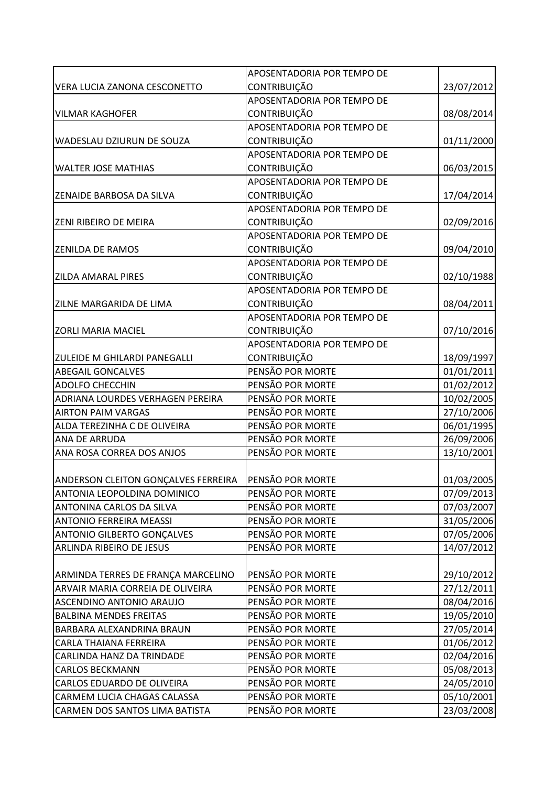|                                            | APOSENTADORIA POR TEMPO DE |            |
|--------------------------------------------|----------------------------|------------|
| VERA LUCIA ZANONA CESCONETTO               | <b>CONTRIBUIÇÃO</b>        | 23/07/2012 |
|                                            | APOSENTADORIA POR TEMPO DE |            |
| <b>VILMAR KAGHOFER</b>                     | <b>CONTRIBUIÇÃO</b>        | 08/08/2014 |
|                                            | APOSENTADORIA POR TEMPO DE |            |
| WADESLAU DZIURUN DE SOUZA                  | <b>CONTRIBUIÇÃO</b>        | 01/11/2000 |
|                                            | APOSENTADORIA POR TEMPO DE |            |
| <b>WALTER JOSE MATHIAS</b>                 | <b>CONTRIBUIÇÃO</b>        | 06/03/2015 |
|                                            | APOSENTADORIA POR TEMPO DE |            |
| <b>ZENAIDE BARBOSA DA SILVA</b>            | <b>CONTRIBUIÇÃO</b>        | 17/04/2014 |
|                                            | APOSENTADORIA POR TEMPO DE |            |
| <b>ZENI RIBEIRO DE MEIRA</b>               | CONTRIBUIÇÃO               | 02/09/2016 |
|                                            | APOSENTADORIA POR TEMPO DE |            |
| <b>ZENILDA DE RAMOS</b>                    | <b>CONTRIBUIÇÃO</b>        | 09/04/2010 |
|                                            | APOSENTADORIA POR TEMPO DE |            |
| <b>ZILDA AMARAL PIRES</b>                  | CONTRIBUIÇÃO               | 02/10/1988 |
|                                            | APOSENTADORIA POR TEMPO DE |            |
| ZILNE MARGARIDA DE LIMA                    | <b>CONTRIBUIÇÃO</b>        | 08/04/2011 |
|                                            | APOSENTADORIA POR TEMPO DE |            |
| <b>ZORLI MARIA MACIEL</b>                  | <b>CONTRIBUIÇÃO</b>        | 07/10/2016 |
|                                            | APOSENTADORIA POR TEMPO DE |            |
| ZULEIDE M GHILARDI PANEGALLI               | <b>CONTRIBUIÇÃO</b>        | 18/09/1997 |
| <b>ABEGAIL GONCALVES</b>                   | PENSÃO POR MORTE           | 01/01/2011 |
| <b>ADOLFO CHECCHIN</b>                     | PENSÃO POR MORTE           | 01/02/2012 |
| ADRIANA LOURDES VERHAGEN PEREIRA           | PENSÃO POR MORTE           | 10/02/2005 |
| <b>AIRTON PAIM VARGAS</b>                  | PENSÃO POR MORTE           | 27/10/2006 |
| ALDA TEREZINHA C DE OLIVEIRA               | PENSÃO POR MORTE           | 06/01/1995 |
| ANA DE ARRUDA                              | PENSÃO POR MORTE           | 26/09/2006 |
| ANA ROSA CORREA DOS ANJOS                  | PENSÃO POR MORTE           | 13/10/2001 |
|                                            |                            |            |
| <b>ANDERSON CLEITON GONÇALVES FERREIRA</b> | <b>PENSÃO POR MORTE</b>    | 01/03/2005 |
| ANTONIA LEOPOLDINA DOMINICO                | PENSÃO POR MORTE           | 07/09/2013 |
| ANTONINA CARLOS DA SILVA                   | PENSÃO POR MORTE           | 07/03/2007 |
| <b>ANTONIO FERREIRA MEASSI</b>             | PENSÃO POR MORTE           | 31/05/2006 |
| <b>ANTONIO GILBERTO GONÇALVES</b>          | PENSÃO POR MORTE           | 07/05/2006 |
| ARLINDA RIBEIRO DE JESUS                   | PENSÃO POR MORTE           | 14/07/2012 |
|                                            |                            |            |
| ARMINDA TERRES DE FRANÇA MARCELINO         | PENSÃO POR MORTE           | 29/10/2012 |
| ARVAIR MARIA CORREIA DE OLIVEIRA           | PENSÃO POR MORTE           | 27/12/2011 |
| ASCENDINO ANTONIO ARAUJO                   | PENSÃO POR MORTE           | 08/04/2016 |
| <b>BALBINA MENDES FREITAS</b>              | PENSÃO POR MORTE           | 19/05/2010 |
| BARBARA ALEXANDRINA BRAUN                  | PENSÃO POR MORTE           | 27/05/2014 |
| CARLA THAIANA FERREIRA                     | PENSÃO POR MORTE           | 01/06/2012 |
| CARLINDA HANZ DA TRINDADE                  | PENSÃO POR MORTE           | 02/04/2016 |
| <b>CARLOS BECKMANN</b>                     | PENSÃO POR MORTE           | 05/08/2013 |
| CARLOS EDUARDO DE OLIVEIRA                 | PENSÃO POR MORTE           | 24/05/2010 |
| CARMEM LUCIA CHAGAS CALASSA                | PENSÃO POR MORTE           | 05/10/2001 |
| CARMEN DOS SANTOS LIMA BATISTA             | PENSÃO POR MORTE           | 23/03/2008 |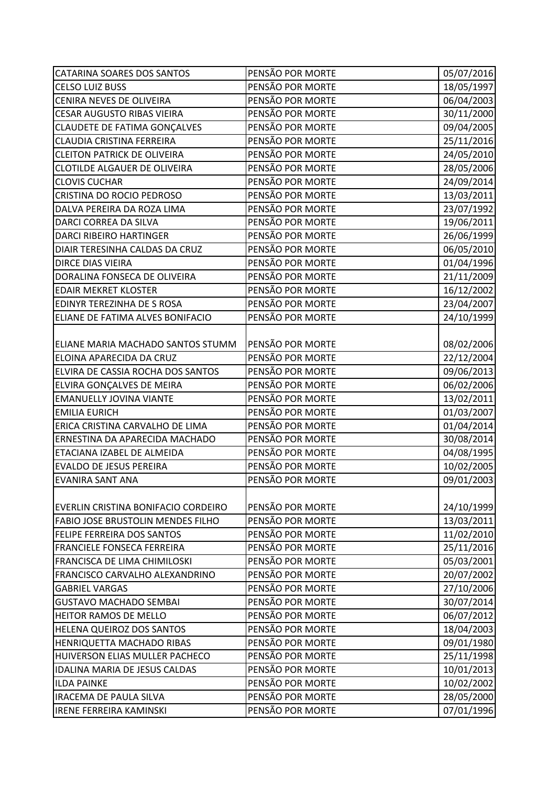| <b>CATARINA SOARES DOS SANTOS</b>        | PENSÃO POR MORTE | 05/07/2016 |
|------------------------------------------|------------------|------------|
| <b>CELSO LUIZ BUSS</b>                   | PENSÃO POR MORTE | 18/05/1997 |
| CENIRA NEVES DE OLIVEIRA                 | PENSÃO POR MORTE | 06/04/2003 |
| <b>CESAR AUGUSTO RIBAS VIEIRA</b>        | PENSÃO POR MORTE | 30/11/2000 |
| <b>CLAUDETE DE FATIMA GONÇALVES</b>      | PENSÃO POR MORTE | 09/04/2005 |
| CLAUDIA CRISTINA FERREIRA                | PENSÃO POR MORTE | 25/11/2016 |
| <b>CLEITON PATRICK DE OLIVEIRA</b>       | PENSÃO POR MORTE | 24/05/2010 |
| CLOTILDE ALGAUER DE OLIVEIRA             | PENSÃO POR MORTE | 28/05/2006 |
| <b>CLOVIS CUCHAR</b>                     | PENSÃO POR MORTE | 24/09/2014 |
| CRISTINA DO ROCIO PEDROSO                | PENSÃO POR MORTE | 13/03/2011 |
| DALVA PEREIRA DA ROZA LIMA               | PENSÃO POR MORTE | 23/07/1992 |
| DARCI CORREA DA SILVA                    | PENSÃO POR MORTE | 19/06/2011 |
| <b>DARCI RIBEIRO HARTINGER</b>           | PENSÃO POR MORTE | 26/06/1999 |
| DIAIR TERESINHA CALDAS DA CRUZ           | PENSÃO POR MORTE | 06/05/2010 |
| <b>DIRCE DIAS VIEIRA</b>                 | PENSÃO POR MORTE | 01/04/1996 |
| DORALINA FONSECA DE OLIVEIRA             | PENSÃO POR MORTE | 21/11/2009 |
| <b>EDAIR MEKRET KLOSTER</b>              | PENSÃO POR MORTE | 16/12/2002 |
| EDINYR TEREZINHA DE S ROSA               | PENSÃO POR MORTE | 23/04/2007 |
| ELIANE DE FATIMA ALVES BONIFACIO         | PENSÃO POR MORTE | 24/10/1999 |
|                                          |                  |            |
| ELIANE MARIA MACHADO SANTOS STUMM        | PENSÃO POR MORTE | 08/02/2006 |
| ELOINA APARECIDA DA CRUZ                 | PENSÃO POR MORTE | 22/12/2004 |
| ELVIRA DE CASSIA ROCHA DOS SANTOS        | PENSÃO POR MORTE | 09/06/2013 |
| ELVIRA GONÇALVES DE MEIRA                | PENSÃO POR MORTE | 06/02/2006 |
| <b>EMANUELLY JOVINA VIANTE</b>           | PENSÃO POR MORTE | 13/02/2011 |
| <b>EMILIA EURICH</b>                     | PENSÃO POR MORTE | 01/03/2007 |
| ERICA CRISTINA CARVALHO DE LIMA          | PENSÃO POR MORTE | 01/04/2014 |
| ERNESTINA DA APARECIDA MACHADO           | PENSÃO POR MORTE | 30/08/2014 |
| ETACIANA IZABEL DE ALMEIDA               | PENSÃO POR MORTE | 04/08/1995 |
| <b>EVALDO DE JESUS PEREIRA</b>           | PENSÃO POR MORTE | 10/02/2005 |
| <b>EVANIRA SANT ANA</b>                  | PENSÃO POR MORTE | 09/01/2003 |
|                                          |                  |            |
| EVERLIN CRISTINA BONIFACIO CORDEIRO      | PENSÃO POR MORTE | 24/10/1999 |
| <b>FABIO JOSE BRUSTOLIN MENDES FILHO</b> | PENSÃO POR MORTE | 13/03/2011 |
| <b>FELIPE FERREIRA DOS SANTOS</b>        | PENSÃO POR MORTE | 11/02/2010 |
| <b>FRANCIELE FONSECA FERREIRA</b>        | PENSÃO POR MORTE | 25/11/2016 |
| <b>FRANCISCA DE LIMA CHIMILOSKI</b>      | PENSÃO POR MORTE | 05/03/2001 |
| FRANCISCO CARVALHO ALEXANDRINO           | PENSÃO POR MORTE | 20/07/2002 |
| <b>GABRIEL VARGAS</b>                    | PENSÃO POR MORTE | 27/10/2006 |
| <b>GUSTAVO MACHADO SEMBAI</b>            | PENSÃO POR MORTE | 30/07/2014 |
| <b>HEITOR RAMOS DE MELLO</b>             | PENSÃO POR MORTE | 06/07/2012 |
| HELENA QUEIROZ DOS SANTOS                | PENSÃO POR MORTE | 18/04/2003 |
| HENRIQUETTA MACHADO RIBAS                | PENSÃO POR MORTE | 09/01/1980 |
| HUIVERSON ELIAS MULLER PACHECO           | PENSÃO POR MORTE | 25/11/1998 |
| IDALINA MARIA DE JESUS CALDAS            | PENSÃO POR MORTE | 10/01/2013 |
| <b>ILDA PAINKE</b>                       | PENSÃO POR MORTE | 10/02/2002 |
| <b>IRACEMA DE PAULA SILVA</b>            | PENSÃO POR MORTE | 28/05/2000 |
| <b>IRENE FERREIRA KAMINSKI</b>           | PENSÃO POR MORTE | 07/01/1996 |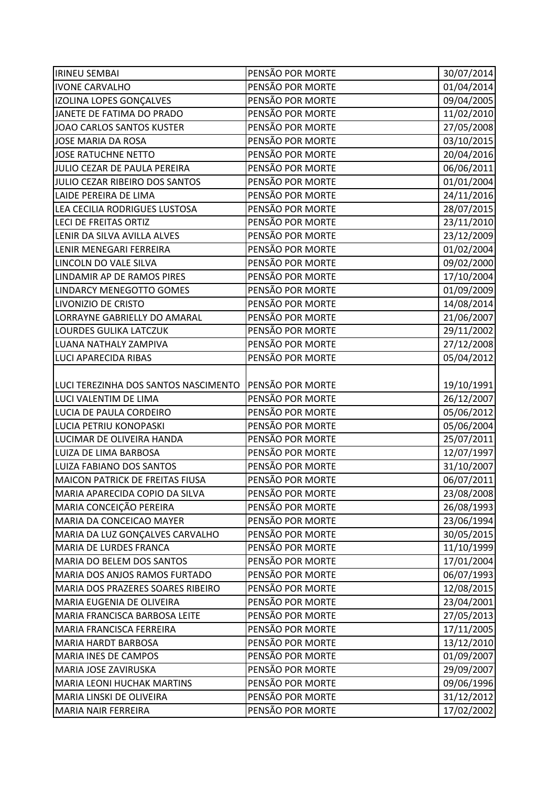| <b>IRINEU SEMBAI</b>                   | PENSÃO POR MORTE | 30/07/2014 |
|----------------------------------------|------------------|------------|
| <b>IVONE CARVALHO</b>                  | PENSÃO POR MORTE | 01/04/2014 |
| IZOLINA LOPES GONÇALVES                | PENSÃO POR MORTE | 09/04/2005 |
| JANETE DE FATIMA DO PRADO              | PENSÃO POR MORTE | 11/02/2010 |
| <b>JOAO CARLOS SANTOS KUSTER</b>       | PENSÃO POR MORTE | 27/05/2008 |
| <b>JOSE MARIA DA ROSA</b>              | PENSÃO POR MORTE | 03/10/2015 |
| <b>JOSE RATUCHNE NETTO</b>             | PENSÃO POR MORTE | 20/04/2016 |
| JULIO CEZAR DE PAULA PEREIRA           | PENSÃO POR MORTE | 06/06/2011 |
| JULIO CEZAR RIBEIRO DOS SANTOS         | PENSÃO POR MORTE | 01/01/2004 |
| LAIDE PEREIRA DE LIMA                  | PENSÃO POR MORTE | 24/11/2016 |
| LEA CECILIA RODRIGUES LUSTOSA          | PENSÃO POR MORTE | 28/07/2015 |
| <b>LECI DE FREITAS ORTIZ</b>           | PENSÃO POR MORTE | 23/11/2010 |
| LENIR DA SILVA AVILLA ALVES            | PENSÃO POR MORTE | 23/12/2009 |
| LENIR MENEGARI FERREIRA                | PENSÃO POR MORTE | 01/02/2004 |
| LINCOLN DO VALE SILVA                  | PENSÃO POR MORTE | 09/02/2000 |
| LINDAMIR AP DE RAMOS PIRES             | PENSÃO POR MORTE | 17/10/2004 |
| LINDARCY MENEGOTTO GOMES               | PENSÃO POR MORTE | 01/09/2009 |
| LIVONIZIO DE CRISTO                    | PENSÃO POR MORTE | 14/08/2014 |
| LORRAYNE GABRIELLY DO AMARAL           | PENSÃO POR MORTE | 21/06/2007 |
| LOURDES GULIKA LATCZUK                 | PENSÃO POR MORTE | 29/11/2002 |
| LUANA NATHALY ZAMPIVA                  | PENSÃO POR MORTE | 27/12/2008 |
| <b>LUCI APARECIDA RIBAS</b>            | PENSÃO POR MORTE | 05/04/2012 |
|                                        |                  |            |
| LUCI TEREZINHA DOS SANTOS NASCIMENTO   | PENSÃO POR MORTE | 19/10/1991 |
| LUCI VALENTIM DE LIMA                  | PENSÃO POR MORTE | 26/12/2007 |
| LUCIA DE PAULA CORDEIRO                | PENSÃO POR MORTE | 05/06/2012 |
| LUCIA PETRIU KONOPASKI                 | PENSÃO POR MORTE | 05/06/2004 |
| LUCIMAR DE OLIVEIRA HANDA              | PENSÃO POR MORTE | 25/07/2011 |
| LUIZA DE LIMA BARBOSA                  | PENSÃO POR MORTE | 12/07/1997 |
| LUIZA FABIANO DOS SANTOS               | PENSÃO POR MORTE | 31/10/2007 |
| <b>MAICON PATRICK DE FREITAS FIUSA</b> | PENSÃO POR MORTE | 06/07/2011 |
| MARIA APARECIDA COPIO DA SILVA         | PENSÃO POR MORTE | 23/08/2008 |
| MARIA CONCEIÇÃO PEREIRA                | PENSÃO POR MORTE | 26/08/1993 |
| MARIA DA CONCEICAO MAYER               | PENSÃO POR MORTE | 23/06/1994 |
| MARIA DA LUZ GONÇALVES CARVALHO        | PENSÃO POR MORTE | 30/05/2015 |
| <b>MARIA DE LURDES FRANCA</b>          | PENSÃO POR MORTE | 11/10/1999 |
| <b>MARIA DO BELEM DOS SANTOS</b>       | PENSÃO POR MORTE | 17/01/2004 |
| MARIA DOS ANJOS RAMOS FURTADO          | PENSÃO POR MORTE | 06/07/1993 |
| MARIA DOS PRAZERES SOARES RIBEIRO      | PENSÃO POR MORTE | 12/08/2015 |
| MARIA EUGENIA DE OLIVEIRA              | PENSÃO POR MORTE | 23/04/2001 |
| MARIA FRANCISCA BARBOSA LEITE          | PENSÃO POR MORTE | 27/05/2013 |
| MARIA FRANCISCA FERREIRA               | PENSÃO POR MORTE | 17/11/2005 |
| <b>MARIA HARDT BARBOSA</b>             | PENSÃO POR MORTE | 13/12/2010 |
| <b>MARIA INES DE CAMPOS</b>            | PENSÃO POR MORTE | 01/09/2007 |
| MARIA JOSE ZAVIRUSKA                   | PENSÃO POR MORTE | 29/09/2007 |
| <b>MARIA LEONI HUCHAK MARTINS</b>      | PENSÃO POR MORTE | 09/06/1996 |
| MARIA LINSKI DE OLIVEIRA               | PENSÃO POR MORTE | 31/12/2012 |
| <b>MARIA NAIR FERREIRA</b>             | PENSÃO POR MORTE | 17/02/2002 |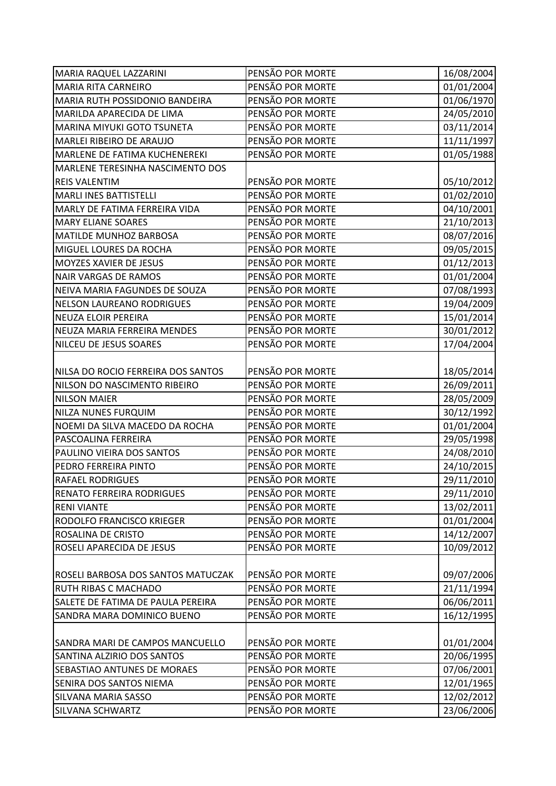| <b>MARIA RAQUEL LAZZARINI</b>      | PENSÃO POR MORTE | 16/08/2004 |
|------------------------------------|------------------|------------|
| MARIA RITA CARNEIRO                | PENSÃO POR MORTE | 01/01/2004 |
| MARIA RUTH POSSIDONIO BANDEIRA     | PENSÃO POR MORTE | 01/06/1970 |
| MARILDA APARECIDA DE LIMA          | PENSÃO POR MORTE | 24/05/2010 |
| MARINA MIYUKI GOTO TSUNETA         | PENSÃO POR MORTE | 03/11/2014 |
| MARLEI RIBEIRO DE ARAUJO           | PENSÃO POR MORTE | 11/11/1997 |
| MARLENE DE FATIMA KUCHENEREKI      | PENSÃO POR MORTE | 01/05/1988 |
| MARLENE TERESINHA NASCIMENTO DOS   |                  |            |
| <b>REIS VALENTIM</b>               | PENSÃO POR MORTE | 05/10/2012 |
| <b>MARLI INES BATTISTELLI</b>      | PENSÃO POR MORTE | 01/02/2010 |
| MARLY DE FATIMA FERREIRA VIDA      | PENSÃO POR MORTE | 04/10/2001 |
| <b>MARY ELIANE SOARES</b>          | PENSÃO POR MORTE | 21/10/2013 |
| MATILDE MUNHOZ BARBOSA             | PENSÃO POR MORTE | 08/07/2016 |
| MIGUEL LOURES DA ROCHA             | PENSÃO POR MORTE | 09/05/2015 |
| MOYZES XAVIER DE JESUS             | PENSÃO POR MORTE | 01/12/2013 |
| <b>NAIR VARGAS DE RAMOS</b>        | PENSÃO POR MORTE | 01/01/2004 |
| NEIVA MARIA FAGUNDES DE SOUZA      | PENSÃO POR MORTE | 07/08/1993 |
| <b>NELSON LAUREANO RODRIGUES</b>   | PENSÃO POR MORTE | 19/04/2009 |
| <b>NEUZA ELOIR PEREIRA</b>         | PENSÃO POR MORTE | 15/01/2014 |
| NEUZA MARIA FERREIRA MENDES        | PENSÃO POR MORTE | 30/01/2012 |
| NILCEU DE JESUS SOARES             | PENSÃO POR MORTE | 17/04/2004 |
|                                    |                  |            |
| NILSA DO ROCIO FERREIRA DOS SANTOS | PENSÃO POR MORTE | 18/05/2014 |
| NILSON DO NASCIMENTO RIBEIRO       | PENSÃO POR MORTE | 26/09/2011 |
| <b>NILSON MAIER</b>                | PENSÃO POR MORTE | 28/05/2009 |
| NILZA NUNES FURQUIM                | PENSÃO POR MORTE | 30/12/1992 |
| NOEMI DA SILVA MACEDO DA ROCHA     | PENSÃO POR MORTE | 01/01/2004 |
| PASCOALINA FERREIRA                | PENSÃO POR MORTE | 29/05/1998 |
| PAULINO VIEIRA DOS SANTOS          | PENSÃO POR MORTE | 24/08/2010 |
| PEDRO FERREIRA PINTO               | PENSÃO POR MORTE | 24/10/2015 |
| <b>RAFAEL RODRIGUES</b>            | PENSÃO POR MORTE | 29/11/2010 |
| <b>RENATO FERREIRA RODRIGUES</b>   | PENSÃO POR MORTE | 29/11/2010 |
| <b>RENI VIANTE</b>                 | PENSÃO POR MORTE | 13/02/2011 |
| RODOLFO FRANCISCO KRIEGER          | PENSÃO POR MORTE | 01/01/2004 |
| ROSALINA DE CRISTO                 | PENSÃO POR MORTE | 14/12/2007 |
| ROSELI APARECIDA DE JESUS          | PENSÃO POR MORTE | 10/09/2012 |
|                                    |                  |            |
| ROSELI BARBOSA DOS SANTOS MATUCZAK | PENSÃO POR MORTE | 09/07/2006 |
| <b>RUTH RIBAS C MACHADO</b>        | PENSÃO POR MORTE | 21/11/1994 |
| SALETE DE FATIMA DE PAULA PEREIRA  | PENSÃO POR MORTE | 06/06/2011 |
| SANDRA MARA DOMINICO BUENO         | PENSÃO POR MORTE | 16/12/1995 |
|                                    |                  |            |
| SANDRA MARI DE CAMPOS MANCUELLO    | PENSÃO POR MORTE | 01/01/2004 |
| SANTINA ALZIRIO DOS SANTOS         | PENSÃO POR MORTE | 20/06/1995 |
| SEBASTIAO ANTUNES DE MORAES        | PENSÃO POR MORTE | 07/06/2001 |
| SENIRA DOS SANTOS NIEMA            | PENSÃO POR MORTE | 12/01/1965 |
| SILVANA MARIA SASSO                | PENSÃO POR MORTE | 12/02/2012 |
| <b>SILVANA SCHWARTZ</b>            | PENSÃO POR MORTE | 23/06/2006 |
|                                    |                  |            |